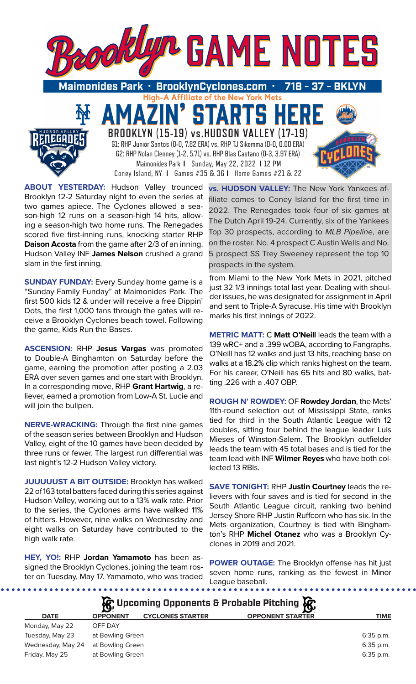

**ABOUT YESTERDAY:** Hudson Valley trounced Brooklyn 12-2 Saturday night to even the series at two games apiece. The Cyclones allowed a season-high 12 runs on a season-high 14 hits, allowing a season-high two home runs. The Renegades scored five first-inning runs, knocking starter RHP **Daison Acosta** from the game after 2/3 of an inning. Hudson Valley INF **James Nelson** crushed a grand slam in the first inning.

**SUNDAY FUNDAY:** Every Sunday home game is a "Sunday Family Funday" at Maimonides Park. The first 500 kids 12 & under will receive a free Dippin' Dots, the first 1,000 fans through the gates will receive a Brooklyn Cyclones beach towel. Following the game, Kids Run the Bases.

**ASCENSION:** RHP **Jesus Vargas** was promoted to Double-A Binghamton on Saturday before the game, earning the promotion after posting a 2.03 ERA over seven games and one start with Brooklyn. In a corresponding move, RHP **Grant Hartwig**, a reliever, earned a promotion from Low-A St. Lucie and will join the bullpen.

**NERVE-WRACKING:** Through the first nine games of the season series between Brooklyn and Hudson Valley, eight of the 10 games have been decided by three runs or fewer. The largest run differential was last night's 12-2 Hudson Valley victory.

**JUUUUUST A BIT OUTSIDE:** Brooklyn has walked 22 of 163 total batters faced during this series against Hudson Valley, working out to a 13% walk rate. Prior to the series, the Cyclones arms have walked 11% of hitters. However, nine walks on Wednesday and eight walks on Saturday have contributed to the high walk rate.

**HEY, YO!:** RHP **Jordan Yamamoto** has been assigned the Brooklyn Cyclones, joining the team roster on Tuesday, May 17. Yamamoto, who was traded

**vs. HUDSON VALLEY:** The New York Yankees affiliate comes to Coney Island for the first time in 2022. The Renegades took four of six games at The Dutch April 19-24. Currently, six of the Yankees Top 30 prospects, according to *MLB Pipeline*, are on the roster. No. 4 prospect C Austin Wells and No. 5 prospect SS Trey Sweeney represent the top 10 prospects in the system.

from Miami to the New York Mets in 2021, pitched just 32 1/3 innings total last year. Dealing with shoulder issues, he was designated for assignment in April and sent to Triple-A Syracuse. His time with Brooklyn marks his first innings of 2022.

**METRIC MATT:** C **Matt O'Neill** leads the team with a 139 wRC+ and a .399 wOBA, according to Fangraphs. O'Neill has 12 walks and just 13 hits, reaching base on walks at a 18.2% clip which ranks highest on the team. For his career, O'Neill has 65 hits and 80 walks, batting .226 with a .407 OBP.

**ROUGH N' ROWDEY:** OF **Rowdey Jordan**, the Mets' 11th-round selection out of Mississippi State, ranks tied for third in the South Atlantic League with 12 doubles, sitting four behind the league leader Luis Mieses of Winston-Salem. The Brooklyn outfielder leads the team with 45 total bases and is tied for the team lead with INF **Wilmer Reyes** who have both collected 13 RBIs.

**SAVE TONIGHT:** RHP **Justin Courtney** leads the relievers with four saves and is tied for second in the South Atlantic League circuit, ranking two behind Jersey Shore RHP Justin Ruffcorn who has six. In the Mets organization, Courtney is tied with Binghamton's RHP **Michel Otanez** who was a Brooklyn Cyclones in 2019 and 2021.

**POWER OUTAGE:** The Brooklyn offense has hit just seven home runs, ranking as the fewest in Minor League baseball.

| $\mathcal{G}$ , Upcoming Opponents & Probable Pitching $\mathcal{G}$ , |                  |                         |                         |           |  |  |  |  |
|------------------------------------------------------------------------|------------------|-------------------------|-------------------------|-----------|--|--|--|--|
| <b>DATE</b>                                                            | <b>OPPONENT</b>  | <b>CYCLONES STARTER</b> | <b>OPPONENT STARTER</b> | TIME      |  |  |  |  |
| Monday, May 22                                                         | OFF DAY          |                         |                         |           |  |  |  |  |
| Tuesday, May 23                                                        | at Bowling Green |                         |                         | 6:35 p.m. |  |  |  |  |
| Wednesday, May 24                                                      | at Bowling Green |                         |                         | 6:35 p.m. |  |  |  |  |
| Friday, May 25                                                         | at Bowling Green |                         |                         | 6:35 p.m. |  |  |  |  |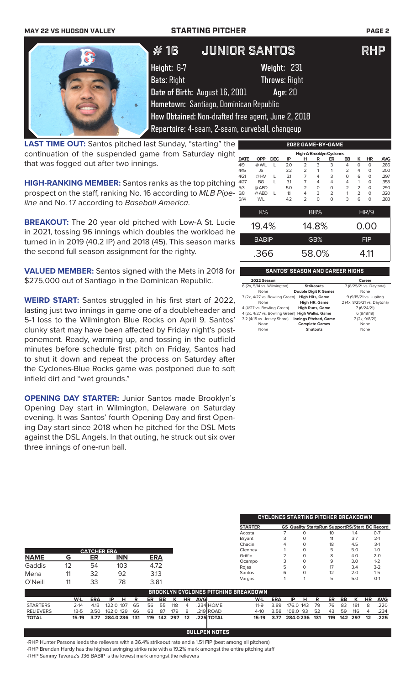## **MAY 22 VS HUDSON VALLEY STARTING PITCHER PAGE 2**

# 16 Junior Santos RHP

**Height:** 6-7 **Weight:** 231 **Bats**: Right **Throws**: Right

**High-A Brooklyn Cyclo**<br>**DATE OPP DEC IP H R ER** 

**Date of Birth:** August 16, 2001 **Age**: 20 **Hometown:** Santiago, Dominican Republic

**How Obtained:** Non-drafted free agent, June 2, 2018

**Repertoire:** 4-seam, 2-seam, curveball, changeup

**LAST TIME OUT:** Santos pitched last Sunday, "starting" the continuation of the suspended game from Saturday night that was fogged out after two innings.

**HIGH-RANKING MEMBER:** Santos ranks as the top pitching  $\frac{427}{53}$ prospect on the staff, ranking No. 16 according to *MLB Pipeline* and No. 17 according to *Baseball America*.

**BREAKOUT:** The 20 year old pitched with in 2021, tossing 96 innings which double turned in in 2019 (40.2 IP) and 2018 (45). the second full season assignment for the

**VALUED MEMBER:** Santos signed with the \$275,000 out of Santiago in the Dominica

**WEIRD START:** Santos struggled in his first start of 2022, lasting just two innings in game one of a doubleheader and 5-1 loss to the Wilmington Blue Rocks on April 9. Santos' clunky start may have been affected by Friday night's postponement. Ready, warming up, and tossing in the outfield minutes before schedule first pitch on Friday, Santos had to shut it down and repeat the process on Saturday after the Cyclones-Blue Rocks game was postponed due to soft infield dirt and "wet grounds."

**OPENING DAY STARTER:** Junior Santos made Brooklyn's Opening Day start in Wilmington, Delaware on Saturday evening. It was Santos' fourth Opening Day and first Opening Day start since 2018 when he pitched for the DSL Mets against the DSL Angels. In that outing, he struck out six over three innings of one-run ball.

|                                         | $K\%$                                     | BB%                                    | HR/9                         |
|-----------------------------------------|-------------------------------------------|----------------------------------------|------------------------------|
| th Low-A St. Lucie<br>s the workload he | 19.4%                                     | 14.8%                                  | 0.00                         |
| This season marks                       | <b>BABIP</b>                              | GB%                                    | <b>FIP</b>                   |
| e righty.                               | .366                                      | 58.0%                                  | 4.11                         |
| e Mets in 2018 for                      |                                           | <b>SANTOS' SEASON AND CAREER HIGHS</b> |                              |
| an Republic.                            | 2022 Season<br>$G/2v$ $E/11v$ Milminaton) | $C$ trikoouto                          | Career<br>$710/25/21$ vs. D- |

| ZUZZ JEGSUH                                     |                              | career                      |
|-------------------------------------------------|------------------------------|-----------------------------|
| 6 (2x, 5/14 vs. Wilmington)                     | <b>Strikeouts</b>            | 7 (8/25/21 vs. Daytona)     |
| None                                            | <b>Double Digit K Games</b>  | None                        |
| 7 (2x, 4/27 vs. Bowling Green)                  | <b>High Hits, Game</b>       | 9 (9/15/21 vs. Jupiter)     |
| None                                            | <b>High HR, Game</b>         | 2 (4x, 8/25/21 vs. Daytona) |
| 4 (4/27 vs. Bowling Green)                      | <b>High Runs, Game</b>       | 7 (6/24/21)                 |
| 4 (2x, 4/27 vs. Bowling Green) High Walks, Game |                              | 6 (8/18/19)                 |
| 3.2 (4/15 vs. Jersey Shore)                     | <b>Innings Pitched, Game</b> | 7 (2x, 9/8/21)              |
| None                                            | <b>Complete Games</b>        | None                        |
| None                                            | <b>Shutouts</b>              | None                        |
|                                                 |                              |                             |

**2022 GAME-BY-GAME**

**DATE OPP DEC IP H R ER BB K HR AVG** 4/9 @ WIL L 2.0 2 3 3 4 0 0 .286 4/15 JS 3.2 2 1 1 2 4 0 .200 4/21 @ HV L 3.1 7 4 3 0 6 0 .297 4/27 BG L 3.1 7 4 4 4 1 0 .353 5/3 @ ABD 5.0 2 0 0 2 2 0 .290 5/8 @ ABD L 1.1 4 3 2 1 2 0 .320 5/14 WIL 4.2 2 0 0 3 6 0 .283

**CYCLONES STARTING PITCHER BREAKDOWN**

|                  |          |            |                    |     |     |            |     |           |            |            |                                             |            | <u>CICLONES STARTING FILCHER DREAMSCWN</u>            |   |     |           |     |     |    |            |
|------------------|----------|------------|--------------------|-----|-----|------------|-----|-----------|------------|------------|---------------------------------------------|------------|-------------------------------------------------------|---|-----|-----------|-----|-----|----|------------|
|                  |          |            |                    |     |     |            |     |           |            |            | <b>STARTER</b>                              |            | <b>GS Quality StartsRun SupportRS/Start BC Record</b> |   |     |           |     |     |    |            |
|                  |          |            |                    |     |     |            |     |           |            |            | Acosta                                      |            |                                                       |   |     | 10        |     | 1.4 |    | $0 - 7$    |
|                  |          |            |                    |     |     |            |     |           |            |            | Bryant                                      |            |                                                       |   |     | 11        |     | 3.7 |    | $2 - 1$    |
|                  |          |            |                    |     |     |            |     |           |            |            | Chacin                                      |            |                                                       |   |     | 18        |     | 4.5 |    | $3-1$      |
|                  |          |            | <b>CATCHER ERA</b> |     |     |            |     |           |            |            | Clenney                                     |            |                                                       |   |     | 5         |     | 5.0 |    | $1 - 0$    |
| <b>NAME</b>      | G        | ER         | <b>INN</b>         |     |     | <b>ERA</b> |     |           |            |            | Griffin                                     |            |                                                       |   |     | 8         |     | 4.0 |    | $2 - 0$    |
|                  |          |            |                    |     |     |            |     |           |            |            | Ocampo                                      |            |                                                       |   |     | 9         |     | 3.0 |    | $1 - 2$    |
| Gaddis           | 12       | 54         | 103                |     |     | 4.72       |     |           |            |            | Rojas                                       |            |                                                       |   |     | 17        |     | 3.4 |    | $3-2$      |
| Mena             | 11       | 32         | 92                 |     |     | 3.13       |     |           |            |            | Santos                                      |            | 6                                                     |   |     | 12        |     | 2.0 |    | $1 - 5$    |
| O'Neill          | 11       | 33         | 78                 |     |     | 3.81       |     |           |            |            | Vargas                                      |            |                                                       |   |     | 5         |     | 5.0 |    | $O-1$      |
|                  |          |            |                    |     |     |            |     |           |            |            | <b>BROOKLYN CYCLONES PITCHING BREAKDOWN</b> |            |                                                       |   |     |           |     |     |    |            |
|                  | W-L      | <b>ERA</b> | IP<br>н            | R   | ER  | BB         | К   | <b>HR</b> | <b>AVG</b> |            | W-L                                         | <b>ERA</b> | IP                                                    | н | R   | <b>ER</b> | BB  | К   | HR | <b>AVG</b> |
| <b>STARTERS</b>  | $2 - 14$ | 4.13       | 122.0<br>107       | 65  | 56  | 55         | 118 | 4         |            | .234 HOME  | $11-9$                                      | 3.89       | 176.0 143                                             |   | 79  | 76        | 83  | 181 | 8  | .220       |
| <b>RELIEVERS</b> | $13 - 5$ | 3.50       | 162.0 129          | 66  | 63  | 87         | 179 | 8         |            | .219 ROAD  | $4 - 10$                                    | 3.58       | 108.0 93                                              |   | 52  | 43        | 59  | 116 | 4  | .234       |
| <b>TOTAL</b>     | 15-19    | 3.77       | 284.0236           | 131 | 119 | 142        | 297 | 12        |            | .225 TOTAL | 15-19                                       | 3.77       | 284.0236                                              |   | 131 | 119       | 142 | 297 | 12 | .225       |

**BULLPEN NOTES**

-RHP Hunter Parsons leads the relievers with a 36.4% strikeout rate and a 1.51 FIP (best among all pitchers) -RHP Brendan Hardy has the highest swinging strike rate with a 19.2% mark amongst the entire pitching staff -RHP Sammy Tavarez's .136 BABIP is the lowest mark amongst the relievers



0.00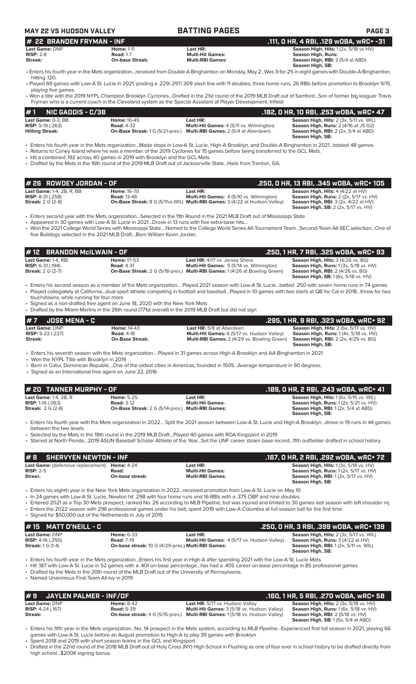| <b>MAY 22 VS HUDSON VALLEY</b>                                               |                                                                              | <b>BATTING PAGES</b>                                                                                                                                                                                                                                                                                                                                                                | PAGE <sub>3</sub>                                                                                                                                                         |
|------------------------------------------------------------------------------|------------------------------------------------------------------------------|-------------------------------------------------------------------------------------------------------------------------------------------------------------------------------------------------------------------------------------------------------------------------------------------------------------------------------------------------------------------------------------|---------------------------------------------------------------------------------------------------------------------------------------------------------------------------|
| <b>22 BRANDEN FRYMAN - INF</b><br>#<br>Last Game: DNP                        | <b>Home: 1-11</b>                                                            | Last HR:                                                                                                                                                                                                                                                                                                                                                                            | .111, O HR, 4 RBI, .129 wOBA, wRC+ -31<br>Season High, Hits: 1 (2x, 5/18 vs HV)                                                                                           |
| $RISP: 2-8$<br>Streak:                                                       | <b>Road: 1-7</b><br><b>On-base Streak:</b>                                   | <b>Multi-Hit Games:</b><br><b>Multi-RBI Games:</b>                                                                                                                                                                                                                                                                                                                                  | <b>Season High, Runs:</b><br>Season High, RBI: 3 (5/4 at ABD)<br>Season High, SB:                                                                                         |
|                                                                              |                                                                              | • Enters his fourth year in the Mets organizationreceived from Double-A Binghamton on Monday, May 2Was 3-for-25 in eight games with Double-A Binghamton,                                                                                                                                                                                                                            |                                                                                                                                                                           |
| hitting .120.                                                                |                                                                              | • Played 69 games with Low-A St. Lucie in 2021, posting a .229/.297/.309 slash line with 11 doubles, three home runs, 26 RBIs before promotion to Brooklyn 9/15,                                                                                                                                                                                                                    |                                                                                                                                                                           |
| playing five games                                                           |                                                                              | • Won a title with the 2019 NYPL Champion Brooklyn CyclonesDrafted in the 21st round of the 2019 MLB Draft out of SamfordSon of former big leaguer Travis<br>Fryman who is a current coach in the Cleveland system as the Special Assistant of Player Development, Infield                                                                                                          |                                                                                                                                                                           |
| #1<br><b>NIC GADDIS - C/3B</b>                                               |                                                                              |                                                                                                                                                                                                                                                                                                                                                                                     | .182, 0 HR, 10 RBI, .253 w0BA, wRC+ 47                                                                                                                                    |
| Last Game: 0-3, BB<br><b>RISP:</b> 5-19 $(.263)$<br><b>Hitting Streak:</b>   | <b>Home: 10-45</b><br><b>Road: 4-32</b>                                      | Last HR:<br>Multi-Hit Games: 4 (5/11 vs. Wilmington)<br><b>On-Base Streak: 1 G (5/21-pres.) Multi-RBI Games: 2 (5/4 at Aberdeen)</b>                                                                                                                                                                                                                                                | Season High, Hits: 2 (3x, 5/11 vs. WIL)<br>Season High, Runs: 2 (4/16 at JS G2)<br>Season High, RBI: 2 (2x, 5/4 at ABD)<br>Season High, SB:                               |
|                                                                              |                                                                              | · Enters his fourth year in the Mets organizationMade stops in Low-A St. Lucie, High-A Brooklyn, and Double-A Binghamton in 2021totaled 48 games.<br>• Returns to Coney Island where he was a member of the 2019 Cyclones for 15 games before being transferred to the GCL Mets.                                                                                                    |                                                                                                                                                                           |
|                                                                              | • Hit a combined .192 across 40 games in 2019 with Brooklyn and the GCL Mets | • Drafted by the Mets in the 16th round of the 2019 MLB Draft out of Jacksonville State Hails from Trenton, GA.                                                                                                                                                                                                                                                                     |                                                                                                                                                                           |
| #26 ROWDEY JORDAN - OF                                                       |                                                                              |                                                                                                                                                                                                                                                                                                                                                                                     | .250, 0 HR, 13 RBI, .345 wOBA, wRC+ 105                                                                                                                                   |
| Last Game: 1-4, 2B, R, BB<br>RISP: 8-31 (.258)<br><b>Streak:</b> 2 G (2-8)   | Home: 16-70<br><b>Road: 13-46</b>                                            | Last HR:<br>Multi-Hit Games: 4 (5/10 vs. Wilmington)<br>On-Base Streak: 8 G (5/11vs. WIL) Multi-RBI Games: 3 (4/22 at Hudson Valley)                                                                                                                                                                                                                                                | Season High, Hits: 4 (4/22 at HV)<br>Season High, Runs: 2 (2x, 5/17 vs. HV)<br><b>Season High, RBI: 3 (2x, 4/22 at HV)</b><br><b>Season High, SB:</b> 2 (2x, 5/17 vs. HV) |
|                                                                              |                                                                              | • Enters second year with the Mets organizationSelected in the 11th Round in the 2021 MLB Draft out of Mississippi State<br>• Appeared in 30 games with Low-A St. Lucie in 2021Drove in 13 runs with five extra-base hits                                                                                                                                                           |                                                                                                                                                                           |
|                                                                              | five Bulldogs selected in the 2021 MLB DraftBorn William Kevin Jordan.       | • Won the 2021 College World Series with Mississippi StateNamed to the College World Series All-Tournament TeamSecond-Team All-SEC selectionOne of                                                                                                                                                                                                                                  |                                                                                                                                                                           |
| 12                                                                           | <b>BRANDON McILWAIN - OF</b>                                                 |                                                                                                                                                                                                                                                                                                                                                                                     | .250, 1 HR, 7 RBI, .325 wOBA, wRC+ 93                                                                                                                                     |
| Last Game: 1-4, RBI<br><b>RISP:</b> 6-31 (.194)<br><b>Streak:</b> 2 G (2-7)  | <b>Home: 17-53</b><br><b>Road: 4-31</b>                                      | Last HR: 4/17 vs. Jersey Shore<br>Multi-Hit Games: 5 (5/14 vs. Wilmington)<br><b>On-Base Streak:</b> 2 G (5/18-pres.) Multi-RBI Games: 1 (4/26 at Bowling Green)                                                                                                                                                                                                                    | Season High, Hits: 3 (4/26 vs. BG)<br>Season High, Runs: 1 (3x, 5/18 vs. HV)<br>Season High, RBI: 2 (4/26 vs. BG)<br>Season High, SB: 1 (6x, 5/18 vs. HV)                 |
|                                                                              |                                                                              | • Enters his second season as a member of the Mets organization Played 2021 season with Low-A St. Luciebatted .250 with seven home runs in 74 games<br>• Played collegiately at Californiadual sport athlete competing in football and baseballPlayed in 10 games with two starts at QB for Cal in 2018threw for two                                                                |                                                                                                                                                                           |
| touchdowns, while running for four more                                      | • Signed as a non-drafted free agent on June 18, 2020 with the New York Mets | • Drafted by the Miami Marlins in the 26th round (771st overall) in the 2019 MLB Draft but did not sign                                                                                                                                                                                                                                                                             |                                                                                                                                                                           |
| <b>JOSE MENA - C</b><br>#7                                                   |                                                                              |                                                                                                                                                                                                                                                                                                                                                                                     | .295, 1 HR, 9 RBI, .323 wOBA, wRC+ 92                                                                                                                                     |
| Last Game: DNP<br><b>RISP:</b> 5-22 (.227)<br>Streak:                        | <b>Home: 14-43</b><br><b>Road: 4-18</b><br><b>On-Base Streak:</b>            | Last HR: 5/8 at Aberdeen<br>Multi-Hit Games: 6 (5/17 vs. Hudson Valley)<br><b>Multi-RBI Games:</b> 2 (4/29 vs. Bowling Green)                                                                                                                                                                                                                                                       | Season High, Hits: 2 (6x, 5/17 vs. HV)<br><b>Season High, Runs: 1 (4x, 5/18 vs. HV)</b><br><b>Season High, RBI:</b> 2 (2x, 4/29 vs. BG)<br>Season High, SB:               |
|                                                                              |                                                                              | • Enters his seventh season with the Mets organization Played in 31 games across High-A Brooklyn and AA Binghamton in 2021                                                                                                                                                                                                                                                          |                                                                                                                                                                           |
| • Won the NYPL Title with Brooklyn in 2019                                   | • Signed as an International free agent on June 22, 2016                     | • Born in Cotui, Dominican RepublicOne of the oldest cities in Americas, founded in 1505Average temperature in 90 degrees.                                                                                                                                                                                                                                                          |                                                                                                                                                                           |
| 20 TANNER MURPHY - OF<br>Last Game: 1-4, 2B, R                               | <b>Home: 5-25</b>                                                            | Last HR:                                                                                                                                                                                                                                                                                                                                                                            | .189, 0 HR, 2 RBI, .243 wOBA, wRC+ 41<br>Season High, Hits: 1 (6x, 5/15 vs. WIL)                                                                                          |
| <b>RISP:</b> 1-16 $(.063)$<br><b>Streak: 2 G (2-8)</b>                       | <b>Road: 2-12</b>                                                            | <b>Multi-Hit Games:</b><br>On-Base Streak: 2 G (5/14-pres.) Multi-RBI Games:                                                                                                                                                                                                                                                                                                        | Season High, Runs: 1 (2x, 5/21 vs. HV)<br>Season High, RBI: 1 (2x, 5/4 at ABD)<br>Season High, SB:                                                                        |
| between the two levels                                                       |                                                                              | • Enters his fourth year with the Mets organization in 2022 Split the 2021 season between Low-A St. Lucie and High-A Brooklyndrove in 19 runs in 44 games                                                                                                                                                                                                                           |                                                                                                                                                                           |
|                                                                              |                                                                              | • Selected by the Mets in the 18th round in the 2019 MLB DraftPlayed 40 games with ROA Kingsport in 2019<br>· Starred at North Florida2019 ASUN Baseball Scholar Athlete of the YearSet the UNF career stolen base record11th outfielder drafted in school history.                                                                                                                 |                                                                                                                                                                           |
| #8                                                                           | <b>SHERVYEN NEWTON - INF</b>                                                 |                                                                                                                                                                                                                                                                                                                                                                                     | .167, 0 HR, 2 RBI, .292 w0BA, wRC+ 72                                                                                                                                     |
| Last Game: (defensive replacement) Home: 4-24<br><b>RISP: 2-5</b><br>Streak: | Road:<br>On-base streak:                                                     | Last HR:<br><b>Multi-Hit Games:</b><br><b>Multi-RBI Games:</b>                                                                                                                                                                                                                                                                                                                      | Season High, Hits: 1 (3x, 5/18 vs. HV)<br>Season High, Runs: 1 (2x, 5/17 vs. HV)<br><b>Season High, RBI:</b> 1 (2x, 5/17 vs. HV)<br>Season High, SB:                      |
|                                                                              |                                                                              | Fitters his eighth year in the New York Mets organization in 2022received promotion from Low-A St. Lucie on May 10<br>. In 24 games with Low-A St. Lucie, Newton hit .298 with four home runs and 16 RBIs with a .375 OBP and nine doubles                                                                                                                                          |                                                                                                                                                                           |
|                                                                              | • Signed for \$50,000 out of the Netherlands in July of 2015                 | • Entered 2021 as a Top 30 Mets prospect, ranked No. 26 according to MLB Pipeline, but was injured and limited to 30 games last season with left shoulder inj.<br>• Enters the 2022 season with 296 professional games under his belt, spent 2019 with Low-A Columbia at full season ball for the first time                                                                        |                                                                                                                                                                           |
| <b>MATT O'NEILL - C</b><br>15                                                |                                                                              |                                                                                                                                                                                                                                                                                                                                                                                     | .250, 0 HR, 3 RBI, .399 w0BA, wRC+ 139                                                                                                                                    |
| Last Game: DNP<br><b>RISP:</b> $4-16$ (.250)<br><b>Streak:</b> 1 G (1-4)     | <b>Home: 6-33</b><br><b>Road: 7-19</b>                                       | Last HR:<br>Multi-Hit Games: 4 (5/17 vs. Hudson Valley)<br>On-base streak: 10 G (4/29-pres.) Multi-RBI Games:                                                                                                                                                                                                                                                                       | Season High, Hits: 2 (3x, 5/17 vs, WIL)<br>Season High, Runs: 3 (4/22 at HV)<br><b>Season High, RBI:</b> 1 (2x, 5/11 vs. WIL)<br>Season High, SB:                         |
| • Named Unanimous First-Team All-Ivy in 2019                                 |                                                                              | • Enters his fourth year in the Mets organizationEnters his first year in High-A after spending 2021 with the Low-A St. Lucie Mets<br>. Hit 187 with Low-A St. Lucie in 52 games with a .401 on-base percentagehas had a .405 career on-base percentage in 85 professional games<br>• Drafted by the Mets in the 20th round of the MLB Draft out of the University of Pennsylvania. |                                                                                                                                                                           |
| #9                                                                           | JAYLEN PALMER - INF/OF                                                       |                                                                                                                                                                                                                                                                                                                                                                                     | .160, 1 HR, 5 RBI, .270 w0BA, wRC+ 58                                                                                                                                     |
| Last Game: DNP<br><b>RISP: 4-24 (.167)</b><br>Streak:                        | <b>Home: 8-42</b><br><b>Road: 5-39</b>                                       | Last HR: 5/17 vs. Hudson Valley<br>Multi-Hit Games: 3 (5/18 vs. Hudson Valley)<br><b>On-base streak:</b> 4 G (5/15-pres.) Multi-RBI Games: 1 (5/18 vs. Hudson Valley)                                                                                                                                                                                                               | Season High, Hits: 2 (3x, 5/18 vs. HV)<br><b>Season High, Runs: 1 (6x, 5/18 vs. HV)</b><br><b>Season High, RBI:</b> 2 (5/18 vs. HV)                                       |

• Enters his fifth year in the Mets organization...No. 14 prospect in the Mets system, according to *MLB Pipeline*...Experienced first full season in 2021, playing 66 games with Low-A St. Lucie before an August promotion to High-A to play 39 games with Brooklyn

**Season High, SB:** 1 (5x, 5/4 at ABD)

• Spent 2018 and 2019 with short season teams in the GCL and Kingsport

• Drafted in the 22nd round of the 2018 MLB Draft out of Holy Cross (NY) High School in Flushing as one of four ever in school history to be drafted directly from high school...\$200K signing bonus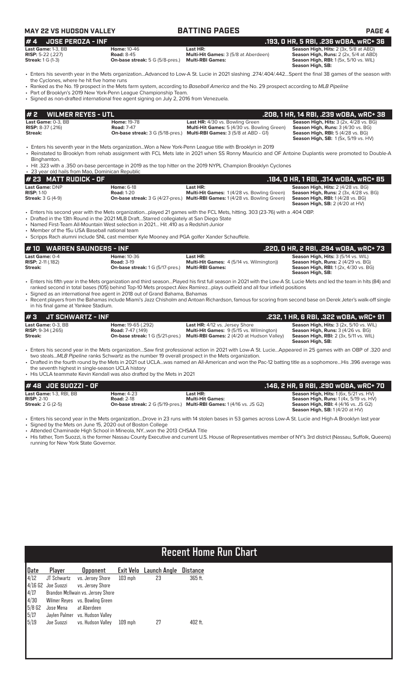| <b>MAY 22 VS HUDSON VALLEY</b>                                                                                   |                                                                                                                                                                                                                                                                                 | <b>BATTING PAGES</b>                                                                                                                                                                                                                                                                                                                                                                                                                                             | <b>PAGE 4</b>                                                                                                                                                                 |
|------------------------------------------------------------------------------------------------------------------|---------------------------------------------------------------------------------------------------------------------------------------------------------------------------------------------------------------------------------------------------------------------------------|------------------------------------------------------------------------------------------------------------------------------------------------------------------------------------------------------------------------------------------------------------------------------------------------------------------------------------------------------------------------------------------------------------------------------------------------------------------|-------------------------------------------------------------------------------------------------------------------------------------------------------------------------------|
| #4<br><b>JOSE PEROZA - INF</b>                                                                                   |                                                                                                                                                                                                                                                                                 |                                                                                                                                                                                                                                                                                                                                                                                                                                                                  | .193, 0 HR, 5 RBI, .236 w0BA, wRC+ 36                                                                                                                                         |
| Last Game: 1-3, BB<br><b>RISP:</b> 5-22 (.227)<br><b>Streak:</b> 1 G (1-3)                                       | <b>Home: 10-46</b><br><b>Road: 8-45</b><br><b>On-base streak:</b> 5 G (5/8-pres.)                                                                                                                                                                                               | Last HR:<br>Multi-Hit Games: 3 (5/8 at Aberdeen)<br><b>Multi-RBI Games:</b>                                                                                                                                                                                                                                                                                                                                                                                      | Season High, Hits: 2 (3x, 5/8 at ABD)<br>Season High, Runs: 2 (2x, 5/4 at ABD)<br><b>Season High, RBI:</b> 1 (5x, 5/10 vs. WIL)<br>Season High, SB:                           |
| the Cyclones, where he hit five home runs                                                                        | • Part of Brooklyn's 2019 New York-Penn League Championship Team.                                                                                                                                                                                                               | · Enters his seventh year in the Mets organizationAdvanced to Low-A St. Lucie in 2021 slashing .274/.404/.442Spent the final 38 games of the season with<br>• Ranked as the No. 19 prospect in the Mets farm system, according to Baseball America and the No. 29 prospect according to MLB Pipeline                                                                                                                                                             |                                                                                                                                                                               |
|                                                                                                                  | · Signed as non-drafted international free agent signing on July 2, 2016 from Venezuela.                                                                                                                                                                                        |                                                                                                                                                                                                                                                                                                                                                                                                                                                                  |                                                                                                                                                                               |
| #2<br><b>WILMER REYES - UTL</b>                                                                                  |                                                                                                                                                                                                                                                                                 |                                                                                                                                                                                                                                                                                                                                                                                                                                                                  | .208, 1 HR, 14 RBI, .239 w0BA, wRC+ 38                                                                                                                                        |
| Last Game: 0-3, BB<br><b>RISP:</b> 8-37 (.216)<br>Streak:                                                        | <b>Home: 19-78</b><br><b>Road: 7-47</b><br><b>On-base streak:</b> 3 G (5/18-pres.)                                                                                                                                                                                              | Last HR: 4/30 vs. Bowling Green<br>Multi-Hit Games: 5 (4/30 vs. Bowling Green)<br>Multi-RBI Games: 3 (5/8 at ABD - G1)                                                                                                                                                                                                                                                                                                                                           | Season High, Hits: 3 (2x, 4/28 vs. BG)<br>Season High, Runs: 3 (4/30 vs. BG)<br><b>Season High, RBI:</b> 5 (4/28 vs. BG)<br><b>Season High, SB:</b> 1(5x, 5/19 vs. HV)        |
| Binghamton.                                                                                                      | Enters his seventh year in the Mets organizationWon a New York-Penn League title with Brooklyn in 2019                                                                                                                                                                          | • Reinstated to Brooklyn from rehab assignment with FCL Mets late in 2021 when SS Ronny Mauricio and OF Antoine Duplantis were promoted to Double-A                                                                                                                                                                                                                                                                                                              |                                                                                                                                                                               |
| • 23 year old hails from Mao, Dominican Republic                                                                 |                                                                                                                                                                                                                                                                                 | • Hit .323 with a .350 on-base percentage in 2019 as the top hitter on the 2019 NYPL Champion Brooklyn Cyclones                                                                                                                                                                                                                                                                                                                                                  |                                                                                                                                                                               |
| # 23 MATT RUDICK - OF                                                                                            |                                                                                                                                                                                                                                                                                 |                                                                                                                                                                                                                                                                                                                                                                                                                                                                  | .184, 0 HR, 1 RBI, .314 WOBA, WRC+ 85                                                                                                                                         |
| <b>Last Game: DNP</b><br><b>RISP: 1-10</b><br><b>Streak:</b> 3 G (4-9)                                           | <b>Home: 6-18</b><br><b>Road: 1-20</b>                                                                                                                                                                                                                                          | Last HR:<br>Multi-Hit Games: 1(4/28 vs. Bowling Green)<br>On-base streak: 3 G (4/27-pres.) Multi-RBI Games: 1 (4/28 vs. Bowling Green)                                                                                                                                                                                                                                                                                                                           | Season High, Hits: 2 (4/28 vs. BG)<br><b>Season High, Runs:</b> 2 (3x, 4/28 vs. BG)<br>Season High, RBI: 1 (4/28 vs. BG)<br><b>Season High, SB: 2 (4/20 at HV)</b>            |
| • Member of the 15u USA Baseball national team                                                                   | • Drafted in the 13th Round in the 2021 MLB DraftStarred collegiately at San Diego State<br>• Named First-Team All-Mountain West selection in 2021 Hit .410 as a Redshirt-Junior<br>• Scripps Rach alumni include SNL cast member Kyle Mooney and PGA golfer Xander Schauffele. | . Enters his second year with the Mets organizationplayed 21 games with the FCL Mets, hitting. 303 (23-76) with a .404 OBP.                                                                                                                                                                                                                                                                                                                                      |                                                                                                                                                                               |
| <b>WARREN SAUNDERS - INF</b><br># 10                                                                             |                                                                                                                                                                                                                                                                                 |                                                                                                                                                                                                                                                                                                                                                                                                                                                                  | .220, 0 HR, 2 RBI, .294 w0BA, wRC+ 73                                                                                                                                         |
| Last Game: 0-4<br><b>RISP: 2-11 (.182)</b><br>Streak:                                                            | Home: 10-36<br><b>Road: 3-19</b><br><b>On-base streak:</b> 1 G (5/17-pres.)                                                                                                                                                                                                     | Last HR:<br><b>Multi-Hit Games:</b> 4 (5/14 vs. Wilmington))<br><b>Multi-RBI Games:</b>                                                                                                                                                                                                                                                                                                                                                                          | Season High, Hits: 3 (5/14 vs. WIL)<br>Season High, Runs: 2 (4/29 vs. BG)<br><b>Season High, RBI:</b> 1 (2x, 4/30 vs. BG)<br>Season High, SB:                                 |
| in his final game at Yankee Stadium.                                                                             | • Signed as an international free agent in 2018 out of Grand Bahama, Bahamas                                                                                                                                                                                                    | · Enters his fifth year in the Mets organization and third seasonPlayed his first full season in 2021 with the Low-A St. Lucie Mets and led the team in hits (84) and<br>ranked second in total bases (105) behind Top-10 Mets prospect Alex Ramirezplays outfield and all four infield positions<br>• Recent players from the Bahamas include Miami's Jazz Chisholm and Antoan Richardson, famous for scoring from second base on Derek Jeter's walk-off single |                                                                                                                                                                               |
| #3<br>JT SCHWARTZ - INF                                                                                          |                                                                                                                                                                                                                                                                                 |                                                                                                                                                                                                                                                                                                                                                                                                                                                                  | .232, 1 HR, 6 RBI, .322 wOBA, wRC+ 91                                                                                                                                         |
| Last Game: 0-3, BB<br>RISP: 9-34 (.265)<br>Streak:                                                               | <b>Home: 19-65 (.292)</b><br><b>Road:</b> 7-47 (.149)<br><b>On-base streak:</b> 1 G (5/21-pres.)                                                                                                                                                                                | Last HR: 4/12 vs. Jersey Shore<br>Multi-Hit Games: 9 (5/15 vs. Wilmington)<br><b>Multi-RBI Games:</b> 2 (4/20 at Hudson Valley)                                                                                                                                                                                                                                                                                                                                  | Season High, Hits: 3 (2x, 5/10 vs. WIL)<br>Season High, Runs: 3 (4/26 vs. BG)<br><b>Season High, RBI:</b> 2 (3x, 5/11 vs. WIL)<br>Season High, SB:                            |
| the seventh highest in single-season UCLA history                                                                | two stealsMLB Pipeline ranks Schwartz as the number 19 overall prospect in the Mets organization.<br>• His UCLA teammate Kevin Kendall was also drafted by the Mets in 2021                                                                                                     | • Enters his second year in the Mets organizationSaw first professional action in 2021 with Low-A St. LucieAppeared in 25 games with an OBP of .320 and<br>• Drafted in the fourth round by the Mets in 2021 out UCLAwas named an All-American and won the Pac-12 batting title as a sophomoreHis .396 average was                                                                                                                                               |                                                                                                                                                                               |
| #48 JOE SUOZZI - OF                                                                                              |                                                                                                                                                                                                                                                                                 |                                                                                                                                                                                                                                                                                                                                                                                                                                                                  | .146, 2 HR, 9 RBI, .290 wOBA, wRC+ 70                                                                                                                                         |
|                                                                                                                  | <b>Home: 4-23</b><br><b>Road: 2-18</b>                                                                                                                                                                                                                                          | Last HR:<br><b>Multi-Hit Games:</b><br><b>On-base streak:</b> 2 G (5/19-pres.) Multi-RBI Games: 1 (4/16 vs. JS G2)                                                                                                                                                                                                                                                                                                                                               | Season High, Hits: 1 (6x, 5/21 vs. HV)<br><b>Season High, Runs:</b> $1(4x, 5/19$ vs. $HV$ )<br>Season High, RBI: 4 (4/16 vs. JS G2)<br><b>Season High, SB: 1 (4/20 at HV)</b> |
|                                                                                                                  |                                                                                                                                                                                                                                                                                 |                                                                                                                                                                                                                                                                                                                                                                                                                                                                  |                                                                                                                                                                               |
| Last Game: 1-3, RBI, BB<br><b>RISP: 2-10</b><br><b>Streak:</b> 2 G (2-5)<br>running for New York State Governor. | • Signed by the Mets on June 15, 2020 out of Boston College<br>• Attended Chaminade High School in Mineola, NYwon the 2013 CHSAA Title                                                                                                                                          | • Enters his second year in the Mets organization…Drove in 23 runs with 14 stolen bases in 53 games across Low-A St. Lucie and High-A Brooklyn last year<br>• His father, Tom Suozzi, is the former Nassau County Executive and current U.S. House of Representatives member of NY's 3rd district (Nassau, Suffolk, Queens)                                                                                                                                      |                                                                                                                                                                               |

# **Recent Home Run Chart**

| Date                                                    | Player                                     | <b>Opponent</b>                   |           | Exit Velo Launch Angle | <b>Distance</b> |
|---------------------------------------------------------|--------------------------------------------|-----------------------------------|-----------|------------------------|-----------------|
|                                                         | $4/12$ JT Schwartz<br>$4/16$ G2 Joe Suozzi | vs. Jersey Shore                  | $103$ mph | 23                     | 365 ft.         |
|                                                         |                                            | vs. Jersey Shore                  |           |                        |                 |
| $\begin{array}{c} 4/17 \\ 4/30 \\ 5/8 & 62 \end{array}$ |                                            | Brandon McIlwain vs. Jersey Shore |           |                        |                 |
|                                                         |                                            | Wilmer Reyes vs. Bowling Green    |           |                        |                 |
|                                                         | Jose Mena                                  | at Aberdeen                       |           |                        |                 |
|                                                         |                                            | Jaylen Palmer vs. Hudson Valley   |           |                        |                 |
| $5/17$<br>$5/19$                                        | Joe Suozzi                                 | vs. Hudson Valley                 | $109$ mph | 27                     | 402 ft.         |
|                                                         |                                            |                                   |           |                        |                 |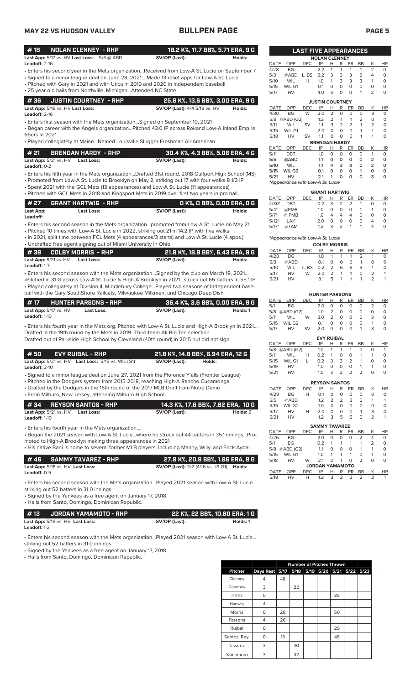|--|--|

| <b>MAY 22 VS HUDSON VALLEY</b>                                                                                                                                                                                                                                                                                                                                                       | <b>BULLPEN PAGE</b>                                                                         |          |                                                                                 |                                            |                          |                                                                                      |                                                      |                                                | <b>PAGE 5</b>                                                           |                                              |
|--------------------------------------------------------------------------------------------------------------------------------------------------------------------------------------------------------------------------------------------------------------------------------------------------------------------------------------------------------------------------------------|---------------------------------------------------------------------------------------------|----------|---------------------------------------------------------------------------------|--------------------------------------------|--------------------------|--------------------------------------------------------------------------------------|------------------------------------------------------|------------------------------------------------|-------------------------------------------------------------------------|----------------------------------------------|
| #18<br><b>NOLAN CLENNEY - RHP</b><br>Last App: 5/17 vs. HV Last Loss: 5/3 @ ABD<br>Leadoff: 2-16<br>• Enters his second year in the Mets organizationReceived from Low-A St. Lucie on September 7                                                                                                                                                                                    | 18.2 K%, 11.7 BB%, 5.71 ERA, 9 G<br>SV/OP (Last):                                           | Holds:   | DATE<br>OPP<br>4/28<br>BG                                                       | <b>LAST FIVE APPEARANCES</b><br><b>DEC</b> | IP<br>2.2                | <b>NOLAN CLENNEY</b><br>Н<br>R<br>1<br>1                                             | ER<br>$\mathbf{1}$                                   | <b>BB</b><br>$\mathbf{1}$                      | K<br>2                                                                  | <b>HR</b><br>$\circ$                         |
| • Signed to a minor league deal on June 28, 2021Made 13 relief apps for Low-A St. Lucie<br>• Pitched with Gary in 2021 and with Utica in 2019 and 2020 in independent baseball<br>· 25 year old hails from Northville, MichiganAttended NC State                                                                                                                                     |                                                                                             |          | 5/3<br>@ABD<br>5/10<br>WIL<br>5/15<br>WIL G1<br>5/17<br>HV                      | L, BS<br>H                                 | 2.2<br>1.0<br>0.1<br>4.0 | 3<br>3<br>3<br>$\mathbf{1}$<br>$\mathbf 0$<br>0<br>3<br>$\circ$                      | 3<br>3<br>$\circ$<br>$\circ$                         | $\overline{2}$<br>3<br>$\circ$<br>$\mathbf{1}$ | $\overline{4}$<br>1<br>$\circ$<br>$\overline{2}$                        | $\circ$<br>$\circ$<br>$\circ$<br>$\circ$     |
| <b>JUSTIN COURTNEY - RHP</b><br>#36                                                                                                                                                                                                                                                                                                                                                  | 25.8 K%, 13.6 BB%, 3.00 ERA, 9 G                                                            |          |                                                                                 |                                            |                          | <b>JUSTIN COURTNEY</b>                                                               |                                                      |                                                |                                                                         |                                              |
| Last App: 5/18 vs. HV Last Loss:<br>Leadoff: 2-16                                                                                                                                                                                                                                                                                                                                    | <b>SV/OP (Last):</b> 4/4 5/18 vs. HV                                                        | Holds:   | DATE<br>OPP<br>4/30<br><b>BG</b>                                                | <b>DEC</b><br>W                            | IP<br>2.0                | н<br>R<br>$\overline{2}$<br>0                                                        | ER<br>$\circ$                                        | BB<br>$\circ$                                  | К<br>3                                                                  | <b>HR</b><br>$\circ$                         |
| • Enters first season with the Mets organizationSigned on September 10, 2021<br>· Began career with the Angels organizationPitched 43.0 IP across Rokand Low-A Inland Empire<br>66ers in 2021                                                                                                                                                                                        |                                                                                             |          | 5/8 @ABD (G2)<br>5/11<br>WIL<br>5/15<br>WIL G1<br>5/18<br><b>HV</b>             | <b>SV</b><br><b>SV</b>                     | 1.2<br>1.1<br>2.0<br>1.1 | 2<br>$\mathbf{1}$<br>$\overline{2}$<br>3<br>$\circ$<br>$\circ$<br>$\circ$<br>$\circ$ | $\mathbf{1}$<br>$\overline{2}$<br>$\circ$<br>$\circ$ | $\overline{2}$<br>1<br>$\mathbf{1}$<br>1       | $\circ$<br>2<br>1<br>1                                                  | $\mathsf O$<br>$\circ$<br>$\circ$<br>$\circ$ |
| • Played collegiately at MaineNamed Louisville Slugger Freshman All-American                                                                                                                                                                                                                                                                                                         |                                                                                             |          | OPP<br>DATE                                                                     | <b>DEC</b>                                 | IP                       | <b>BRENDAN HARDY</b><br>R<br>н                                                       | ER                                                   | <b>BB</b>                                      | К                                                                       | <b>HR</b>                                    |
| # 21<br><b>BRENDAN HARDY - RHP</b><br>Last App: 5/21 vs. HV<br><b>Last Loss:</b><br>Leadoff: 0-2                                                                                                                                                                                                                                                                                     | 30.4 K%, 4.3 BB%, 5.06 ERA, 4 G<br>SV/OP (Last):                                            | Holds:   | $5/1*$<br><b>DBT</b><br>5/5<br>@ABD<br>5/10<br><b>WIL</b><br>WIL G <sub>2</sub> |                                            | 1.0<br>1.1<br>1.1<br>0.1 | $\mathbf 0$<br>0<br>$\mathbf o$<br>0<br>3<br>4<br>$\mathbf o$<br>$\mathbf o$         | $\circ$<br>$\circ$<br>3<br>$\mathbf 0$               | $\Omega$<br>$\mathbf{o}$<br>O<br>1             | $\mathbf{1}$<br>$\overline{\mathbf{2}}$<br>$\overline{\mathbf{2}}$<br>O | $\circ$<br>$\circ$<br>$\circ$<br>$\mathbf 0$ |
| · Enters his fifth year in the Mets organizationDrafted 31st round, 2018 Gulfport High School (MS)<br>• Promoted from Low-A St. Lucie to Brooklyn on May 2, striking out 17 with four walks 8 1/3 IP<br>• Spent 2021 with the GCL Mets (13 appearances) and Low-A St. Lucie (11 appearances)                                                                                         |                                                                                             |          | 5/15<br>HV<br>5/21<br>*Appearance with Low-A St. Lucie                          |                                            | 2.1                      | 1<br>$\mathbf 0$                                                                     | O                                                    | $\Omega$                                       | 3                                                                       | $\mathbf{o}$                                 |
| • Pitched with GCL Mets in 2018 and Kingsport Mets in 2019 over first two years in pro ball                                                                                                                                                                                                                                                                                          |                                                                                             |          | DATE<br>OPP                                                                     | <b>DEC</b>                                 | IP                       | <b>GRANT HARTWIG</b><br>н<br>R                                                       | ER                                                   | BB                                             | Κ                                                                       | HR                                           |
| # 27<br><b>GRANT HARTWIG - RHP</b><br>Last App:<br><b>Last Loss:</b>                                                                                                                                                                                                                                                                                                                 | 0 K%, 0 BB%, 0.00 ERA, 0 G<br>SV/OP (Last):                                                 | Holds:   | $4/30*$<br>DBT<br>$5/4*$<br>@PMB                                                |                                            | 0.2<br>1.0               | 3<br>2<br>0<br>0                                                                     | $\overline{2}$<br>0                                  | $\mathbf{1}$<br>$\mathbf{1}$                   | $\circ$<br>1                                                            | $\circ$<br>$\circ$                           |
| Leadoff:                                                                                                                                                                                                                                                                                                                                                                             |                                                                                             |          | $5/7*$<br>@ PMB<br>$5/12*$<br>LAK                                               |                                            | 1.0<br>2.0               | $\overline{4}$<br>4<br>$\mathbf 0$<br>$\circ$                                        | $\overline{4}$<br>$\mathbf 0$                        | $\circ$<br>$\circ$                             | $\Omega$<br>4                                                           | $\circ$<br>$\circ$                           |
| • Enters his second season in the Mets organizationpromoted from Low-A St. Lucie on May 21<br>. Pitched 10 times with Low-A St. Lucie in 2022, striking out 21 in 14.2 IP with five walks<br>In 2021, split time between FCL Mets (4 appearances/3 starts) and Low-A St. Lucie (4 apps.)                                                                                             |                                                                                             |          | $5/17*$<br>@TAM<br>*Appearance with Low-A St. Lucie                             |                                            | 1.2                      | $\overline{2}$<br>3                                                                  | 1                                                    | 1                                              | 4                                                                       | $\circ$                                      |
| • Undrafted free agent signing out of Miami University in Ohio                                                                                                                                                                                                                                                                                                                       |                                                                                             |          | OPP<br>DATE                                                                     | <b>DEC</b>                                 | IP                       | <b>COLBY MORRIS</b><br>R<br>Н                                                        | ER                                                   | BB                                             | К                                                                       | <b>HR</b>                                    |
| #38<br><b>COLBY MORRIS - RHP</b><br>Last App: 5/21 vs. HV<br><b>Last Loss:</b>                                                                                                                                                                                                                                                                                                       | 21.9 K%, 18.8 BB%, 6.43 ERA, 9 G<br>SV/OP (Last):                                           | Holds:   | <b>BG</b><br>4/28                                                               |                                            | 1.0                      | $\mathbf{1}$<br>1                                                                    | $\mathbf{1}$                                         | 2                                              | 1                                                                       | $\circ$                                      |
| Leadoff: 1-7                                                                                                                                                                                                                                                                                                                                                                         |                                                                                             |          | 5/3<br>@ABD<br>5/10<br>WIL                                                      | L, BS                                      | 0.1<br>0.2               | $\mathbf 0$<br>0<br>2<br>6                                                           | $\mathbf 0$<br>6                                     | $\mathbf{1}$<br>4                              | $\circ$<br>1                                                            | $\mathsf O$<br>$\circ$                       |
| • Enters his second season with the Mets organizationSigned by the club on March 19, 2021<br>Pitched in 31 G across Low-A St. Lucie & High-A Brooklyn in 2021struck out 65 batters in 55.1 IP<br>• Played collegiately at Division III Middlebury CollegePlayed two seasons of Independent base-<br>ball with the Gary SouthShore Railcats, Milwaukee Milkmen, and Chicago Deep Dish |                                                                                             |          | 5/17<br>HV<br>5/21<br><b>HV</b>                                                 | W                                          | 2.0<br>3.1               | $\overline{2}$<br>$\mathbf{1}$<br>5<br>1<br><b>HUNTER PARSONS</b>                    | $\mathbf{1}$<br>$\mathbf{1}$                         | 0<br>$\mathbf{1}$                              | $\overline{2}$<br>$\overline{2}$                                        | $\mathbf{1}$<br>$\mathbf{1}$                 |
| #17<br><b>HUNTER PARSONS - RHP</b>                                                                                                                                                                                                                                                                                                                                                   | 36.4 K%, 3.6 BB%, 0.00 ERA, 9 G                                                             |          | DATE<br>OPP<br>5/1                                                              | <b>DEC</b>                                 | IP                       | H                                                                                    | R ER                                                 | BB                                             | K                                                                       | HR                                           |
| <b>Last App:</b> 5/17 vs. HV<br><b>Last Loss:</b><br><b>Leadoff: 1-10</b>                                                                                                                                                                                                                                                                                                            | SV/OP (Last):                                                                               | Holds: 1 | <b>BG</b><br>5/8<br>@ABD (G2)                                                   |                                            | 2.0<br>1.0               | $\circ$<br>0<br>2<br>0                                                               | 0<br>0                                               | 0<br>0                                         | 2<br>0                                                                  | 0<br>0                                       |
| . Enters his fourth year in the Mets org. Pitched with Low-A St. Lucie and High-A Brooklyn in 2021                                                                                                                                                                                                                                                                                   |                                                                                             |          | 5/11<br>WIL<br>5/15<br>WIL G <sub>2</sub>                                       | W                                          | 3.0<br>0.1               | $\overline{2}$<br>0<br>O<br>0                                                        | $\circ$<br>$\circ$                                   | $\circ$<br>$\circ$                             | 3<br>1                                                                  | $\circ$<br>0                                 |
| Drafted in the 19th round by the Mets in 2019Third-team All-Big Ten selection<br>Drafted out of Parkside High School by Cleveland (40th round) in 2015 but did not sign                                                                                                                                                                                                              |                                                                                             |          | 5/17<br>HV<br>OPP<br>DATE                                                       | SV<br><b>DEC</b>                           | 2.0<br>IP                | $\circ$<br>$\circ$<br><b>EVY RUIBAL</b><br>н<br>R                                    | 0<br>ER                                              | $\mathbf{1}$<br><b>BB</b>                      | 3<br>К                                                                  | $\circ$<br>HR                                |
| #50<br><b>EVY RUIBAL - RHP</b>                                                                                                                                                                                                                                                                                                                                                       | 21.8 K%, 14.8 BB%, 6.94 ERA, 12 G                                                           |          | @ABD (G2)<br>5/8<br>5/11<br>WIL                                                 | н                                          | 1.0<br>0.2               | 1<br>1<br>$\mathbf{1}$<br>0                                                          | $\mathbf{1}$<br>$\mathbf 0$                          | 0<br>1                                         | 0<br>$\mathbf{1}$                                                       | $\overline{1}$<br>$\circ$                    |
| Last App: 5/21 vs. HV Last Loss: 5/15 vs. WIL (G1)                                                                                                                                                                                                                                                                                                                                   | SV/OP (Last):<br>Holds:                                                                     |          | WIL G1<br>5/15<br>5/19<br>HV                                                    | L                                          | 0.2<br>1.0               | 3<br>3<br>$\circ$<br>0                                                               | $\overline{2}$<br>0                                  | 1<br>1                                         | 0<br>1                                                                  | $\circ$<br>$\circ$                           |
| <b>Leadoff: 2-10</b><br>· Signed to a minor league deal on June 27, 2021 from the Florence Y'alls (Frontier League)<br>• Pitched in the Dodgers system from 2015-2018, reaching High-A Rancho Cucamonga                                                                                                                                                                              |                                                                                             |          | 5/21<br>HV                                                                      |                                            | 1.0                      | 3<br>2<br><b>REYSON SANTOS</b>                                                       | $\overline{2}$                                       | $\overline{2}$                                 | $\Omega$                                                                | $\circ$                                      |
| • Drafted by the Dodgers in the 16th round of the 2017 MLB Draft from Notre Dame<br>· From Milburn, New Jersey, attending Milburn High School                                                                                                                                                                                                                                        |                                                                                             |          | OPP<br>DATE<br>4/29<br>BG                                                       | DEC<br>Н                                   | IP<br>0.1                | H<br>R<br>0<br>0                                                                     | ER<br>0                                              | BB<br>0                                        | Κ<br>0                                                                  | H <sub>R</sub><br>0                          |
| #34<br><b>REYSON SANTOS - RHP</b>                                                                                                                                                                                                                                                                                                                                                    | 14.3 K%, 17.6 BB%, 7.82 ERA, 10 G                                                           |          | 5/5<br>@ABD<br>5/15<br>WIL G <sub>2</sub>                                       |                                            | 1.2<br>1.0               | 2<br>2<br>$\mathbf 0$<br>0                                                           | $\overline{2}$<br>$\circ$                            | 3<br>$\circ$                                   | 1<br>0                                                                  | $\mathbf{1}$<br>$\circ$                      |
| Last App: 5/21 vs. HV<br><b>Last Loss:</b><br><b>Leadoff: 1-10</b>                                                                                                                                                                                                                                                                                                                   | SV/OP (Last):                                                                               | Holds: 2 | 5/17<br>HV<br>5/21<br>HV                                                        | н                                          | 2.0<br>1.2               | 0<br>0<br>3<br>5                                                                     | 0<br>5                                               | 1<br>3                                         | 3<br>$\overline{2}$                                                     | $\circ$<br>$\mathbf{1}$                      |
| • Enters his fourth year in the Mets organization<br>Began the 2021 season with Low-A St. Luciewhere he struck out 44 batters in 35.1 inningsPro •                                                                                                                                                                                                                                   |                                                                                             |          | OPP<br>DATE                                                                     | <b>DEC</b>                                 | IP                       | <b>SAMMY TAVAREZ</b><br>R<br>Н                                                       | ER                                                   | BB                                             | Κ                                                                       | HR                                           |
| moted to High-A Brooklyn making three appearances in 2021<br>His native Bani is home to several former MLB players, including Manny, Willy, and Erick Aybar. •                                                                                                                                                                                                                       |                                                                                             |          | 4/26<br>BG<br>5/1<br>BG<br>5/8<br>@ABD (G2)<br>5/15<br>WIL G1                   |                                            | 2.0<br>0.2<br>1.1<br>1.0 | 0<br>0<br>$\mathbf{1}$<br>1<br>$\circ$<br>0<br>$\mathbf{1}$<br>$\mathbf{1}$          | 0<br>1<br>$\circ$<br>$\mathbf{1}$                    | 2<br>1<br>1<br>0                               | 4<br>2<br>1<br>1                                                        | 0<br>$\circ$<br>$\circ$<br>$\circ$           |
| #46<br><b>SAMMY TAVAREZ - RHP</b><br>Last App: 5/18 vs. HV Last Loss:<br>Leadoff: 0-5                                                                                                                                                                                                                                                                                                | 27.9 K%, 20.9 BB%, 1.86 ERA, 8 G<br><b>SV/OP (Last):</b> 2/2 (4/16 vs. JS G1) <b>Holds:</b> |          | 5/18<br>HV<br>OPP<br>DATE                                                       | W<br>DEC                                   | 2.1<br>IP                | $\overline{2}$<br>$\mathbf{1}$<br><b>JORDAN YAMAMOTO</b><br>Н<br>R                   | 0<br>ER                                              | 2<br>BB                                        | $\mathbf 0$<br>Κ                                                        | $\circ$<br>HR                                |
| - Enters his second season with the Mets organizationPlayed 2021 season with Low-A St. Lucie<br>striking out 52 batters in 31.0 innings<br>· Signed by the Yankees as a free agent on January 17, 2018                                                                                                                                                                               |                                                                                             |          | 5/18<br>HV                                                                      | н                                          | 1.2                      | 3<br>2                                                                               | 2                                                    | 2                                              | 2                                                                       | $\mathbf{1}$                                 |
| • Hails from Santo, Domingo, Dominican Republic.<br>#13<br>JORDAN YAMAMOTO - RHP                                                                                                                                                                                                                                                                                                     | 22 K%, 22 BB%, 10.80 ERA, 1 G                                                               |          |                                                                                 |                                            |                          |                                                                                      |                                                      |                                                |                                                                         |                                              |
|                                                                                                                                                                                                                                                                                                                                                                                      |                                                                                             |          |                                                                                 |                                            |                          |                                                                                      |                                                      |                                                |                                                                         |                                              |

**Last App:** 5/18 vs. HV **Last Loss: SV/OP (Last): Holds:** 1

**Leadoff:** 1-2

• Enters his second season with the Mets organization…Played 2021 season with Low-A St. Lucie…

striking out 52 batters in 31.0 innings • Signed by the Yankees as a free agent on January 17, 2018

|  |  | • Hails from Santo, Domingo, Dominican Republic. |  |
|--|--|--------------------------------------------------|--|
|  |  |                                                  |  |

| OPP         | <b>DEC</b> | IP                      | н              | R           | ER       | BB                                                                     | Κ | HR                           |  |  |  |
|-------------|------------|-------------------------|----------------|-------------|----------|------------------------------------------------------------------------|---|------------------------------|--|--|--|
| <b>BG</b>   |            | 2.2                     | 1              | 1           | 1        | 1                                                                      | 2 | 0                            |  |  |  |
| @ABD        | L, BS      | 2.2                     | 3              | 3           | 3        | $\overline{2}$                                                         | 4 | 0                            |  |  |  |
| WIL         | н          | 1.0                     | 1              | 3           | 3        | 3                                                                      | 1 | 0                            |  |  |  |
| WIL G1      |            | 0.1                     | 0              | 0           | 0        | 0                                                                      | O | 0                            |  |  |  |
| HV          |            | 4.0                     | 3              | 0           | $\Omega$ | 1                                                                      | 2 | 0                            |  |  |  |
|             |            |                         |                |             |          |                                                                        |   |                              |  |  |  |
|             |            |                         |                |             |          |                                                                        |   |                              |  |  |  |
|             |            |                         |                |             | ER       | BB                                                                     | Κ | ΗR                           |  |  |  |
| <b>BG</b>   | W          | 2.0                     | $\overline{2}$ | 0           | 0        | 0                                                                      | 3 | 0                            |  |  |  |
|             |            | 1.2                     | 2              | 1           | 1        | $\overline{2}$                                                         | 0 | 0                            |  |  |  |
| WIL         | SV         | 1.1                     | 3              | 2           | 2        | 1                                                                      | 2 | 0                            |  |  |  |
| WIL G1      |            | 2.0                     | 0              | $\mathbf 0$ | 0        | 1                                                                      | 1 | 0                            |  |  |  |
| HV          | SV         | 1.1                     | 0              | 0           | $\Omega$ | 1                                                                      | 1 | 0                            |  |  |  |
|             |            |                         |                |             |          |                                                                        |   |                              |  |  |  |
| OPP         | <b>DEC</b> | IP                      | н              | R           | ER       | BB                                                                     | Κ | ΗR                           |  |  |  |
| DBT         |            | 1.0                     | 0              | 0           | 0        | 0                                                                      | 1 | 0                            |  |  |  |
| <b>@ABD</b> |            | 1.1                     | 0              | 0           | 0        | 0                                                                      | 2 | 0                            |  |  |  |
| <b>WIL</b>  |            | 1.1                     | 4              | 3           | 3        | ٥                                                                      | 2 | 0                            |  |  |  |
| WIL G2      |            | 0.1                     | ٥              | 0           | 0        | 1                                                                      | 0 | 0                            |  |  |  |
| нv          |            | 2.1                     | 1              | 0           | 0        | ٥                                                                      | 3 | O                            |  |  |  |
|             | OPP        | <b>DEC</b><br>@ABD (G2) | IP             | Н           | R        | <b>NOLAN CLENNEY</b><br><b>JUSTIN COURTNEY</b><br><b>BRENDAN HARDY</b> |   | <b>LAST FIVE APPEARANCES</b> |  |  |  |

### **GRANT HARTWIG**<br> **DEC IP H R E**<br> **O.2** 3 2 :<br> **1.0** 4 4<br> **1.0** 4 4<br> **2.0** 0 0 0<br> **1.2** 3 2 DATE OPP DEC IP H R ER BB K HR 4/30\* DBT 0.2 3 2 2 1 0 0 5/4\* @PMB 1.0 0 0 0 1 1 0 5/7\* @ PMB 1.0 4 4 4 0 0 0 5/12\* LAK 2.0 0 0 0 0 4 0 5/17\* @TAM 1.2 3 2 1 1 4 0

### *\*Appearance with Low-A St. Lucie*

| <b>COLBY MORRIS</b> |           |       |     |    |   |    |              |               |    |  |  |
|---------------------|-----------|-------|-----|----|---|----|--------------|---------------|----|--|--|
| DATE                | OPP       | DEC.  | IP  | н  | R | ER | <b>BB</b>    | Κ             | ΗR |  |  |
| 4/28                | <b>BG</b> |       | 1.0 | 1  | 1 | -1 | 2            |               | O  |  |  |
| 5/3                 | @ABD      |       | 0.1 | O  | O | 0  | $\mathbf{1}$ | O             | O  |  |  |
| 5/10                | WIL       | L. BS | 0.2 | 2  | 6 | 6  | 4            | 1             | O  |  |  |
| 5/17                | HV        | W     | 2.0 | 2  | 1 | 1  | O            | $\mathcal{P}$ |    |  |  |
| 5/21                | HV        |       | 31  | Б. |   |    |              |               |    |  |  |

| <b>HUNTER PARSONS</b> |                    |            |            |               |   |          |    |   |     |  |
|-----------------------|--------------------|------------|------------|---------------|---|----------|----|---|-----|--|
| DATE                  | <b>OPP</b>         | <b>DEC</b> | IP         | н             | R | ER       | BВ | K | HR. |  |
| 5/1                   | <b>BG</b>          |            | 20         | Ω             | O | O        | O  | 2 | O   |  |
| 5/8                   | @ABD (G2)          |            | 1.0        | $\mathcal{P}$ | O | $\Omega$ | Ω  | Ω | Ω   |  |
| 5/11                  | WIL                | W          | 3.0        | $\mathcal{P}$ | O | O        | O  | 3 | O   |  |
| 5/15                  | WIL G <sub>2</sub> |            | $\Omega$ 1 | O             | O | O        | O  |   | Ω   |  |
| 5/17                  | HV                 | <b>SV</b>  | 20         | O             | O | Ω        |    | 3 |     |  |
|                       |                    |            |            |               |   |          |    |   |     |  |

| <b>EVY RUIBAL</b> |               |           |            |                |               |               |                |   |      |
|-------------------|---------------|-----------|------------|----------------|---------------|---------------|----------------|---|------|
| DATE OPP          |               | DEC.      | IP         |                |               | H R ER BB     |                | K | - HR |
|                   | 5/8 @ABD (G2) | 1.0 1 1 1 |            |                |               | 0             | 0              |   |      |
| 5/11              | WIL           | H.        | 0.2        | $\overline{1}$ | O             | 0             | $\overline{1}$ | 1 | O    |
| 5/15              | WIL G1        | L         | 0.2        | $\mathbf{3}$   | $\mathbf{3}$  | 2             | $\overline{1}$ | O | O    |
| 5/19              | <b>HV</b>     |           | 10         | O              | O             | O             | -1             |   | O    |
| 5/21              | <b>HV</b>     |           | $1 \Omega$ | 3              | $\mathcal{P}$ | $\mathcal{P}$ | $\mathcal{P}$  |   | O    |

|             |                    |            | <b>REYSON SANTOS</b>   |                |                |                |                |                |           |
|-------------|--------------------|------------|------------------------|----------------|----------------|----------------|----------------|----------------|-----------|
| <b>DATE</b> | OPP                | DEC        | IP                     | н              | R              | ER             | ВB             | Κ              | ΗR        |
| 4/29        | ΒG                 | н          | 0.1                    | $\Omega$       | 0              | O              | O              | 0              | 0         |
| 5/5         | @ABD               |            | 1.2                    | 2              | 2              | 2              | 3              | 1              | 1         |
| 5/15        | WIL G <sub>2</sub> |            | 1.0                    | $\Omega$       | 0              | O              | O              | O              | 0         |
| 5/17        | HV                 | Н          | 2.0                    | $\Omega$       | 0              | O              | 1              | 3              | 0         |
| 5/21        | HV                 |            | 1.2                    | 3              | 5              | 5              | 3              | 2              | 1         |
|             |                    |            | <b>SAMMY TAVAREZ</b>   |                |                |                |                |                |           |
| DATE        | OPP                | DEC        | IP                     | н              | R              | ER             | <b>BB</b>      | Κ              | HR        |
| 4/26        | BG                 |            | 2.0                    | $\Omega$       | O              | O              | $\overline{2}$ | 4              | Ο         |
| 5/1         | BG                 |            | 0.2                    | 1              | 1              | 1              | 1              | 2              | 0         |
| 5/8         | @ABD (G2)          |            | 1.1                    | 0              | O              | 0              | 1              | 1              | 0         |
| 5/15        | WIL G1             |            | 1.0                    | 1              | 1              | 1              | 0              | 1              | 0         |
| 5/18        | HV                 | W          | 2.1                    | $\overline{2}$ | 1              | O              | $\overline{2}$ | 0              | 0         |
|             |                    |            | <b>JORDAN YAMAMOTO</b> |                |                |                |                |                |           |
| <b>DATE</b> | OPP                | <b>DEC</b> | IP                     | н              | R              | ER             | BB             | Κ              | <b>HR</b> |
| 5/18        | HV                 | н          | 1.2                    | 3              | $\overline{2}$ | $\overline{2}$ | $\overline{2}$ | $\overline{2}$ | 1         |

|                |                                              | <b>Number of Pitches Thrown</b> |    |  |  |    |  |  |  |  |
|----------------|----------------------------------------------|---------------------------------|----|--|--|----|--|--|--|--|
| <b>Pitcher</b> | Days Rest 5/17 5/18 5/19 5/20 5/21 5/22 5/23 |                                 |    |  |  |    |  |  |  |  |
| Clenney        | 4                                            | 48                              |    |  |  |    |  |  |  |  |
| Courtney       | 3                                            |                                 | 22 |  |  |    |  |  |  |  |
| Hardy          | $\Omega$                                     |                                 |    |  |  | 35 |  |  |  |  |
| Hartwig        | 4                                            |                                 |    |  |  |    |  |  |  |  |
| Morris         | ∩                                            | 28                              |    |  |  | 50 |  |  |  |  |
| Parsons        | 4                                            | 26                              |    |  |  |    |  |  |  |  |
| Ruibal         | $\Omega$                                     |                                 |    |  |  | 29 |  |  |  |  |
| Santos, Rey.   | $\Omega$                                     | 13                              |    |  |  | 48 |  |  |  |  |
| Tavarez        | 3                                            |                                 | 40 |  |  |    |  |  |  |  |
| Yamamoto       | 3                                            |                                 | 42 |  |  |    |  |  |  |  |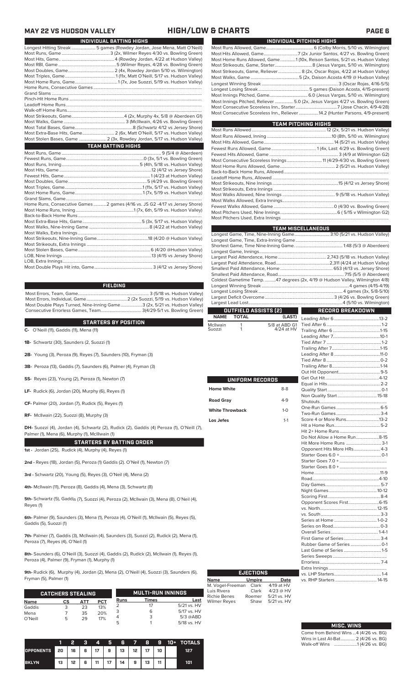### **MAY 22 VS HUDSON VALLEY HIGH/LOW & CHARTS PAGE 6**

|  | INDIVIDUAL BATTING HIGHS                                                |
|--|-------------------------------------------------------------------------|
|  | Longest Hitting Streak 5 games (Rowdey Jordan, Jose Mena, Matt O'Neill) |
|  |                                                                         |
|  |                                                                         |
|  |                                                                         |
|  |                                                                         |
|  |                                                                         |
|  |                                                                         |
|  |                                                                         |
|  |                                                                         |
|  |                                                                         |
|  |                                                                         |
|  |                                                                         |
|  |                                                                         |
|  |                                                                         |
|  |                                                                         |
|  | Most Extra-Base Hits, Game 2 (6x, Matt O'Neill, 5/17 vs. Hudson Valley) |
|  | Most Stolen Bases, Game  2 (3x, Rowdey Jordan, 5/17 vs. Hudson Valley)  |
|  | <b>TEAM BATTING HIGHS</b>                                               |
|  |                                                                         |
|  |                                                                         |
|  |                                                                         |
|  |                                                                         |
|  |                                                                         |
|  |                                                                         |
|  |                                                                         |
|  |                                                                         |
|  |                                                                         |

| Home Runs, Consecutive Games 2 games (4/16 vs. JS G2 -4/17 vs Jersey Shore) |
|-----------------------------------------------------------------------------|
|                                                                             |
|                                                                             |
|                                                                             |
|                                                                             |
|                                                                             |
|                                                                             |
|                                                                             |
|                                                                             |
|                                                                             |
|                                                                             |
|                                                                             |
|                                                                             |

Most Errors, Team, Game................................................................. 3 (5/18 vs. Hudson Valley) Most Errors, Individual, Game.....................................2 (2x Suozzi, 5/19 vs. Hudson Valley) Most Double Plays Turned, Nine-Inning Game... moot Bodbie Frays Famea, Finne Immit **FIELDING**

### **STARTERS BY POSITION**

STARTERS BY POSITION<br>C- O'Neill (11), Gaddis (11), Mena (11)<br>St

- **1B-** Schwartz (30), Saunders (2, Suozzi (1)
- **2B-** Young (3), Peroza (9), Reyes (7), Saunders (10), Fryman (3)
- **3B-** Peroza (13), Gaddis (7), Saunders (6), Palmer (4), Fryman (3)
- **SS-** Reyes (23), Young (2), Peroza (1), Newton (7)
- **LF-** Rudick (6), Jordan (20), Murphy (6), Reyes (1)
- **CF-** Palmer (20), Jordan (7), Rudick (5), Reyes (1)
- **RF-** McIlwain (22), Suozzi (8), Murphy (3)

**DH-** Suozzi (4), Jordan (4), Schwartz (2), Rudick (2), Gaddis (4) Peroza (1), O'Neill (7), Palmer (1), Mena (6), Murphy (1), McIllwain (1)

### **STARTERS BY BATTING ORDER**

**1st -** Jordan (25), Rudick (4), Murphy (4), Reyes (1)

**2nd -** Reyes (18), Jordan (5), Peroza (1) Gaddis (2). O'Neil (1), Newton (7)

**3rd -** Schwartz (20), Young (5), Reyes (3), O'Neil (4), Mena (2)

**4th-** McIlwain (11), Peroza (8), Gaddis (4), Mena (3), Schwartz (8)

**5th-** Schwartz (5), Gaddis (7), Suozzi (4), Peroza (2), McIlwain (3), Mena (8), O'Neil (4), Reyes (1)

**6th-** Palmer (9), Saunders (3), Mena (1), Peroza (4), O'Neill (1), McIlwain (5), Reyes (5), Gaddis (5), Suozzi (1)

**7th-** Palmer (7), Gaddis (3), McIlwain (4), Saunders (3), Suozzi (2), Rudick (2), Mena (1), Peroza (7), Reyes (4), O'Neil (1)

**8th-** Saunders (6), O'Neill (3), Suozzi (4), Gaddis (2), Rudick (2), McIlwain (1), Reyes (1), Peroza (4), Palmer (9), Fryman (1), Murphy (1)

**9th-** Rudick (6), Murphy (4), Jordan (2), Mena (2), O'Neill (4), Suozzi (3), Saunders (6), Fryman (5), Palmer (1)

|             | <b>CATCHERS STEALING</b> |     |     |             | <b>MULTI-RUN INNINGS</b> |             |
|-------------|--------------------------|-----|-----|-------------|--------------------------|-------------|
| <b>Name</b> | СS                       | ATT | PCT | <b>Runs</b> | Times                    | Last        |
| Gaddis      |                          | 23  | 13% |             | 17                       | 5/21 vs. HV |
| Mena        |                          | 35  | 20% | 3           | 6                        | 5/17 vs. HV |
| O'Neill     | 5                        | 29  | 17% |             | 3                        | $5/3$ @ABD  |
|             |                          |     |     | 5           |                          | 5/18 vs. HV |

|                                     |    | 2                | a | 4  | - 51 | в  |   |                   |    | 7 8 9 10+ TOTALS |
|-------------------------------------|----|------------------|---|----|------|----|---|-------------------|----|------------------|
| OPPONENTS 20   16   6   17   9   13 |    |                  |   |    |      |    |   | $12 \mid 17 \mid$ | 10 | 127              |
| <b>BKLYN</b>                        | 13 | 12 <sup>12</sup> | 6 | 11 | 17   | 14 | 9 | 13                |    | 101              |

| INDIVIDUAL PITCHING HIGHS                                                                                                                                     |
|---------------------------------------------------------------------------------------------------------------------------------------------------------------|
|                                                                                                                                                               |
|                                                                                                                                                               |
| Most Home Runs Allowed, Game1 (10x, Reison Santos, 5/21 vs. Hudson Valley)                                                                                    |
|                                                                                                                                                               |
| Most Strikeouts, Game, Reliever 8 (2x, Oscar Rojas, 4/22 at Hudson Valley)                                                                                    |
|                                                                                                                                                               |
|                                                                                                                                                               |
|                                                                                                                                                               |
|                                                                                                                                                               |
| Most Innings Pitched, Reliever  5.0 (2x, Jesus Vargas 4/27 vs. Bowling Green)<br>Most Consecutive Scoreless Inn., Reliever 14.2 (Hunter Parsons, 4/9-present) |

| <b>TEAM PITCHING HIGHS</b>                                          |  |
|---------------------------------------------------------------------|--|
|                                                                     |  |
|                                                                     |  |
|                                                                     |  |
|                                                                     |  |
|                                                                     |  |
| Most Consecutive Scoreless Innings 11 (4/29-4/30 vs. Bowling Green) |  |
|                                                                     |  |
|                                                                     |  |
|                                                                     |  |
|                                                                     |  |
|                                                                     |  |
|                                                                     |  |
|                                                                     |  |
|                                                                     |  |
|                                                                     |  |
|                                                                     |  |

|                              |                             | <b>TEAM MISCELLANEOUS</b>                                                    |  |  |  |  |
|------------------------------|-----------------------------|------------------------------------------------------------------------------|--|--|--|--|
|                              |                             | Longest Game, Time, Nine-Inning Game 3:10 (5/21 vs. Hudson Valley)           |  |  |  |  |
|                              |                             |                                                                              |  |  |  |  |
|                              |                             |                                                                              |  |  |  |  |
|                              |                             |                                                                              |  |  |  |  |
|                              |                             |                                                                              |  |  |  |  |
|                              |                             |                                                                              |  |  |  |  |
|                              |                             |                                                                              |  |  |  |  |
|                              |                             | Coldest Gametime Temp. 47 degrees (2x, 4/19 @ Hudson Valley, Wilmington 4/8) |  |  |  |  |
|                              |                             |                                                                              |  |  |  |  |
|                              |                             |                                                                              |  |  |  |  |
|                              |                             |                                                                              |  |  |  |  |
|                              |                             |                                                                              |  |  |  |  |
| OUTFIELD ASSISTS (2)         |                             | RECORD BREAKDOWN                                                             |  |  |  |  |
| <b>TOTAL</b><br><b>NAME</b>  | (LAST)                      |                                                                              |  |  |  |  |
|                              |                             |                                                                              |  |  |  |  |
| McIlwain<br>1<br>1<br>Suozzi | 5/8 at ABD G1<br>4/24 at HV |                                                                              |  |  |  |  |
|                              |                             |                                                                              |  |  |  |  |
|                              |                             |                                                                              |  |  |  |  |
|                              |                             |                                                                              |  |  |  |  |
|                              |                             |                                                                              |  |  |  |  |
|                              |                             |                                                                              |  |  |  |  |
|                              |                             |                                                                              |  |  |  |  |
|                              |                             |                                                                              |  |  |  |  |
| UNIFORM RECORDS              |                             |                                                                              |  |  |  |  |
|                              |                             |                                                                              |  |  |  |  |
| <b>Home White</b>            | $8 - 8$                     |                                                                              |  |  |  |  |
|                              |                             |                                                                              |  |  |  |  |
| <b>Road Gray</b>             | $4 - 9$                     |                                                                              |  |  |  |  |
| <b>White Throwback</b>       | $1 - 0$                     |                                                                              |  |  |  |  |
|                              |                             |                                                                              |  |  |  |  |
| Los Jefes                    | $1 - 1$                     | Score 4 or More Runs13-2                                                     |  |  |  |  |
|                              |                             |                                                                              |  |  |  |  |
|                              |                             |                                                                              |  |  |  |  |
|                              |                             | Do Not Allow a Home Run8-15                                                  |  |  |  |  |
|                              |                             | Hit More Home Runs  3-1                                                      |  |  |  |  |
|                              |                             | Opponent Hits More HRs 4-3                                                   |  |  |  |  |
|                              |                             |                                                                              |  |  |  |  |
|                              |                             |                                                                              |  |  |  |  |
|                              |                             |                                                                              |  |  |  |  |
|                              |                             |                                                                              |  |  |  |  |
|                              |                             |                                                                              |  |  |  |  |
|                              |                             |                                                                              |  |  |  |  |
|                              |                             |                                                                              |  |  |  |  |
|                              |                             |                                                                              |  |  |  |  |
|                              |                             |                                                                              |  |  |  |  |
|                              |                             |                                                                              |  |  |  |  |
|                              |                             |                                                                              |  |  |  |  |
|                              |                             |                                                                              |  |  |  |  |
|                              |                             |                                                                              |  |  |  |  |
|                              |                             |                                                                              |  |  |  |  |
|                              |                             |                                                                              |  |  |  |  |

|                     | <b>EJECTIONS</b> |             |
|---------------------|------------------|-------------|
| <b>Name</b>         | <b>Umpire</b>    | Date        |
| M. Vogel-Freeman    | Clark            | 4/19 at HV  |
| Luis Rivera         | Clark            | $4/23$ @ HV |
| <b>Richie Benes</b> | Roemer           | 5/21 vs. HV |
| <b>Wilmer Reyes</b> | Shaw             | 5/21 vs. HV |

| <b>MISC. WINS</b> |  |                                       |  |  |  |
|-------------------|--|---------------------------------------|--|--|--|
|                   |  | Come from Behind Wins 4 (4/26 vs. BG) |  |  |  |
|                   |  | Wins in Last At-Bat 2 (4/26 vs. BG)   |  |  |  |
|                   |  | Walk-off Wins    1 (4/26 vs. BG)      |  |  |  |

Last Game of Series ..................................1-5 Series Sweeps .................................................

Extra Innings ..................................................... vs. LHP Starters...........................................1-4

Errorless.

vs. RHP Starters .....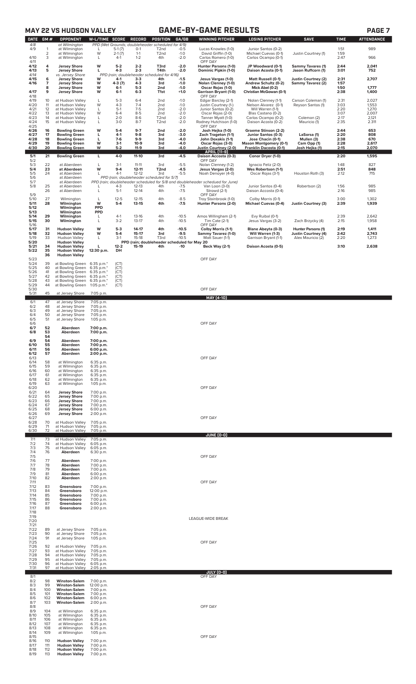|                              |                      | <b>MAY 22 VS HUDSON VALLEY</b>                                                                               |                                                  |                                    |                                        |                                                                                    |                                  | <b>GAME-BY-GAME RESULTS</b>                                                                                     |                                                                                          |                                                                       |                              | PAGE <sub>7</sub>        |
|------------------------------|----------------------|--------------------------------------------------------------------------------------------------------------|--------------------------------------------------|------------------------------------|----------------------------------------|------------------------------------------------------------------------------------|----------------------------------|-----------------------------------------------------------------------------------------------------------------|------------------------------------------------------------------------------------------|-----------------------------------------------------------------------|------------------------------|--------------------------|
| <b>DATE</b><br>4/8<br>4/9    | GM#<br>1             | <b>OPPONENT</b><br>at Wilmington<br>at Wilmington                                                            | <b>W-L/TIME SCORE</b><br>L                       | $5-1(7)$                           | RECORD<br>$O-1$                        | POSITION<br>PPD (Wet Grounds; doubleheader scheduled for 4/9)<br>T <sub>2</sub> nd | GA/GB<br>$-0.5$                  | <b>WINNING PITCHER</b><br>Lucas Knowles (1-0)                                                                   | <b>LOSING PITCHER</b><br>Junior Santos (0-2)                                             | <b>SAVE</b>                                                           | <b>TIME</b><br>1:51          | <b>ATTENDANCE</b><br>989 |
| 4/10<br>4/11                 | $\overline{2}$<br>3  | at Wilmington<br>at Wilmington                                                                               | W<br>L                                           | $2-1(7)$<br>$4-1$                  | $1 - 1$<br>$1 - 2$                     | T <sub>2</sub> nd<br>4th                                                           | $-1.0$<br>$-2.0$                 | David Griffin (1-0)<br>Carlos Romero (1-0)<br>OFF DAY                                                           | Michael Cuevas (0-1)<br>Carlos Ocampo (0-1)                                              | Justin Courtney (1)                                                   | 1:59<br>2:47                 | 966                      |
| 4/12<br>4/13                 | 4<br>5               | <b>Jersey Shore</b><br><b>Jersey Shore</b>                                                                   | W<br>L                                           | $5-2$<br>$4 - 3$                   | $2 - 2$<br>$2 - 3$                     | T3rd<br>T4th                                                                       | $-2.0$<br>$-2.0$                 | Hunter Parsons (1-0)<br>Dominic Pipkin (1-0)                                                                    | JP Woodward (0-1)<br>Daison Acosta (0-1)                                                 | <b>Sammy Tavares (1)</b><br>Jason Ruffcorn (1)                        | 2:44<br>3:01                 | 2,041<br>752             |
| 4/14<br>4/15<br>4/16<br>4/17 | 6<br>7<br>8<br>9     | vs. Jersey Shore<br><b>Jersey Shore</b><br><b>Jersey Shore</b><br><b>Jersey Shore</b><br><b>Jersey Shore</b> | W<br>W<br>W<br>w                                 | 4-1<br>4-3 (7)<br>$6-1$<br>$6 - 1$ | $3 - 3$<br>$4 - 3$<br>$5-3$<br>$6 - 3$ | PPD (rain; doubleheader scheduled for 4/16)<br>4th<br>3rd<br>2nd<br>T1st           | $-1.5$<br>$-1.0$<br>-1.0<br>+1.0 | Jesus Vargas (1-0)<br>Nolan Clenney (1-0)<br>Oscar Rojas (1-0)<br><b>Garrison Bryant (1-0)</b>                  | Matt Russell (0-1)<br>Andrew Schultz (0-2)<br>Mick Abel (0-2)<br>Christian McGowan (0-1) | Justin Courtney (2)<br>Sammy Tavarez (2)                              | 2:31<br>1:57<br>1:50<br>2:38 | 2,707<br>1,777<br>1,400  |
| 4/18<br>4/19<br>4/20         | 10<br>11             | at Hudson Valley<br>at Hudson Valley                                                                         | L<br>W                                           | $5 - 3$<br>$4 - 3$                 | $6 - 4$<br>$7-4$                       | 2nd<br>2nd                                                                         | $-1.0$<br>$-1.0$                 | OFF DAY<br>Edgar Barclay (2-1)<br>Justin Courtney (1-)                                                          | Nolan Clenney (1-1)<br>Nelson Alvarez (0-1)                                              | Carson Coleman (1)<br>Reyson Santos (1)                               | 2:31<br>3:03                 | 2,027<br>1,553           |
| 4/21<br>4/22<br>4/23         | 12<br>13<br>14       | at Hudson Valley<br>at Hudson Valley<br>at Hudson Valley                                                     | L<br>W<br>L                                      | $5-1$<br>$6 - 4$<br>$2 - 0$        | $7-5$<br>$8-5$<br>$8-6$                | 2nd<br>2nd<br>T <sub>2</sub> nd                                                    | $-2.0$<br>$-2.0$<br>$-2.0$       | Junior Santos (0-2)<br>Oscar Rojas (2-0)<br>Tanner Myatt (1-0)                                                  | Will Warren (1-1)<br>Blas Castano (0-2)<br>Carlos Ocampo (0-2)                           | Coleman (2)                                                           | 2:20<br>3:07<br>2:17         | 1,270<br>2,007<br>2,121  |
| 4/24<br>4/25                 | 15                   | at Hudson Valley                                                                                             | L                                                | $3 - 0$                            | $8 - 7$                                | T <sub>2</sub> nd                                                                  | $-2.0$                           | Rodney Hutchison (1-0)<br>OFF DAY                                                                               | Daison Acosta (0-2)                                                                      | Mauricio (1)                                                          | 2:35                         | 2.311                    |
| 4/26<br>4/27<br>4/28         | 16<br>17<br>18       | <b>Bowling Green</b><br><b>Bowling Green</b><br><b>Bowling Green</b>                                         | W<br>L<br>L                                      | $5-4$<br>$4-1$<br>$7-6$            | $9-7$<br>$9 - 8$<br>$9-9$              | 2nd<br>3rd<br>3rd                                                                  | $-2.0$<br>$-3.0$<br>-4.0         | Josh Hejka (1-0)<br>Zach Trageton (1-1)<br>John Doxakis (1-1)                                                   | Graeme Stinson (2-2)<br>Junior Santos (0-3)<br>Jose Chacin (0-1)                         | LaSorsa (1)<br>Mullen (3)                                             | 2:44<br>2:20<br>2:38         | 653<br>808<br>670        |
| 4/29<br>4/30                 | 19<br>20             | <b>Bowling Green</b><br><b>Bowling Green</b>                                                                 | W<br>W                                           | $3-1$<br>$5 - 2$                   | $10-9$<br>$11-9$                       | 3rd<br>3rd                                                                         | -4.0<br>-4.0                     | Oscar Rojas (3-0)<br>Justin Courtney (2-0)<br><b>APRIL [11-9]</b>                                               | <b>Mason Montgomery (0-1)</b><br>Franklin Dacosta (0-1)                                  | Cam Opp (1)<br>Josh Hejka (1)                                         | 2:28<br>2:15                 | 2,617<br>2,070           |
| 5/1<br>5/2<br>5/3            | 21<br>22             | <b>Bowling Green</b><br>at Aberdeen                                                                          | L<br>L                                           | $4 - 0$<br>$3-1$                   | $11-10$<br>$11 - 11$                   | 3rd<br>3rd                                                                         | -4.5<br>$-5.5$                   | Daison Accosta (0-3)<br>OFF DAY<br>Nolan Clenney (1-2)                                                          | Conor Dryer (1-0)<br>Ignacio Feliz (2-0)                                                 |                                                                       | 2:20<br>1:48                 | 1,595<br>827             |
| 5/4<br>$\frac{5}{5}$         | 23<br>24             | at Aberdeen<br>at Aberdeen<br>at Aberdeen                                                                    | W<br>L.                                          | $9 - 4$<br>$4-1$                   | $12 - 11$<br>$12 - 12$                 | T <sub>2</sub> nd<br>3rd<br>PPD (rain; doubleheader scheduled for 5/7)             | $-4.5$<br>$-5.5$                 | Jesus Vargas (2-0)<br>Noah Denoyer (4-0)                                                                        | Wes Robertson (1-1)<br>Oscar Rojas (3-1)                                                 | Houston Roth (3)                                                      | 2:51<br>2:12                 | 848<br>715               |
| 5/7<br>5/8                   | 25<br>26             | at Aberdeen<br>at Aberdeen<br>at Aberdeen                                                                    | L                                                | $4-3$<br>$5-1$                     | 12-13<br>$12 - 14$                     | 4th<br>4th                                                                         | $-7.5$<br>$-7.5$                 | PPD (rain; doubleheader scheduled for 5/8 and doubleheader schedued for June)<br>Van Loon (3-0)<br>Strowd (2-1) | Junior Santos (0-4)<br>Daison Accosta (0-4)                                              | Robertson (2)                                                         | 1:56<br>2:16                 | 985<br>985               |
| 5/9<br>5/10<br>5/11          | 27<br>28             | Wilmington<br>Wilmington                                                                                     | L<br>W                                           | $12 - 5$<br>$5-4$                  | $12 - 15$<br>$13 - 15$                 | 4th<br>4th                                                                         | $-8.5$<br>$-7.5$                 | OFF DAY<br>Troy Stainbrook (1-0)<br><b>Hunter Parsons (2-0)</b>                                                 | Colby Morris (0-1)<br><b>Michael Cuevas (0-4)</b>                                        | <b>Justin Courtney (3)</b>                                            | 3:00<br>2:39                 | 1,302<br>1,939           |
| 5/12<br>5/13<br>5/14         | 29                   | Wilmington<br>Wilmington<br>Wilmington                                                                       | <b>PPD</b><br><b>PPD</b><br>L                    | $4-1$                              | 13-16                                  | 4th                                                                                | $-10.5$                          | Amos Willingham (2-1)                                                                                           | Evy Ruibal (0-1)                                                                         |                                                                       | 2:39                         | 2,642                    |
| 5/15<br>5/16                 | 30<br>31             | Wilmington                                                                                                   | L<br>W                                           | $3 - 2$<br>$5-3$                   | $13-17$<br>14-17                       | 4th<br>4th                                                                         | $-10.5$<br>$-10.5$               | Tim Cate (2-1)<br>OFF DAY                                                                                       | Jesus Vargas (3-2)<br><b>Blane Abeyta (0-3)</b>                                          | Zach Brzycky (4)                                                      | 2:15<br>2:19                 | 1,958<br>1,411           |
| 5/17<br>5/18<br>5/19         | 32<br>33             | <b>Hudson Valley</b><br><b>Hudson Valley</b><br><b>Hudson Valley</b>                                         | W<br>L                                           | $5-4$<br>$3-1$                     | $15-17$<br>$15-18$                     | 3rd<br>T3rd                                                                        | $-9.5$<br>$-10.5$                | Colby Morris (1-1)<br>Sammy Tavarez (1-0)<br>Matt Sauer (1-1)                                                   | Will Warren (1-3)<br>Garrison Bryant (1-1)                                               | Hunter Parsons (1)<br><b>Justin Courtney (4)</b><br>Alex Mauricio (2) | 2:42<br>2:20                 | 2,743<br>1,273           |
| 5/20<br>5/21<br>5/22         | 34<br>35             | <b>Hudson Valley</b><br><b>Hudson Valley</b><br><b>Hudson Valley</b>                                         | L<br>12:30 p.m.                                  | $12 - 2$<br>DH                     | 15-19                                  | PPD (rain; doubleheader scheduled for May 20<br>4th                                | $-10$                            | <b>Beck Way (2-1)</b>                                                                                           | Daison Acosta (0-5)                                                                      |                                                                       | 3:10                         | 2,638                    |
| 5/23<br>5/24                 | 36<br>39             | <b>Hudson Valley</b><br>at Bowling Green                                                                     | 6:35 p.m.*                                       | (CT)                               |                                        |                                                                                    |                                  | OFF DAY                                                                                                         |                                                                                          |                                                                       |                              |                          |
| 5/25<br>5/26<br>5/27         | 40<br>41<br>42       | at Bowling Green<br>at Bowling Green<br>at Bowling Green                                                     | 6:35 p.m.*<br>6:35 p.m.*<br>6:35 p.m.*           | (CT)<br>(CT)<br>(CT)               |                                        |                                                                                    |                                  |                                                                                                                 |                                                                                          |                                                                       |                              |                          |
| 5/28<br>5/29<br>5/30         | 43<br>44             | at Bowling Green<br>at Bowling Green                                                                         | 6:35 p.m.*<br>1:05 p.m. $*$                      | (CT)<br>(CT)                       |                                        |                                                                                    |                                  | OFF DAY                                                                                                         |                                                                                          |                                                                       |                              |                          |
| 5/31<br>6/1                  | 45<br>47             | at Jersey Shore<br>at Jersey Shore                                                                           | 7:05 p.m.<br>7:05 p.m.                           |                                    |                                        |                                                                                    |                                  | MAY [4-10]                                                                                                      |                                                                                          |                                                                       |                              |                          |
| 6/2<br>6/3<br>$6/4$<br>$6/5$ | 48<br>49<br>50<br>51 | at Jersey Shore<br>at Jersey Shore<br>at Jersey Shore<br>at Jersey Shore                                     | 7:05 p.m.<br>7:05 p.m.<br>7:05 p.m.<br>1:05 p.m. |                                    |                                        |                                                                                    |                                  |                                                                                                                 |                                                                                          |                                                                       |                              |                          |
| 6/6<br>6/7<br>6/8            | 52<br>53             | Aberdeen<br>Aberdeen                                                                                         | 7:00 p.m.<br>7:00 p.m.                           |                                    |                                        |                                                                                    |                                  | OFF DAY                                                                                                         |                                                                                          |                                                                       |                              |                          |
| 6/9<br>6/10                  | 54<br>54<br>55       | Aberdeen<br>Aberdeen                                                                                         | 7:00 p.m.<br>7:00 p.m.                           |                                    |                                        |                                                                                    |                                  |                                                                                                                 |                                                                                          |                                                                       |                              |                          |
| 6/11<br>6/12<br>6/13         | 56<br>57             | Aberdeen<br>Aberdeen                                                                                         | 6:00 p.m.<br>2:00 p.m.                           |                                    |                                        |                                                                                    |                                  | OFF DAY                                                                                                         |                                                                                          |                                                                       |                              |                          |
| 6/14<br>6/15<br>6/16         | 58<br>59<br>60       | at Wilmington<br>at Wilmington<br>at Wilmington                                                              | 6:35 p.m.<br>6:35 p.m.<br>6:35 p.m.              |                                    |                                        |                                                                                    |                                  |                                                                                                                 |                                                                                          |                                                                       |                              |                          |
| 6/17<br>6/18<br>6/19         | 61<br>62<br>63       | at Wilmington<br>at Wilmington<br>at Wilmington                                                              | 6:35 p.m.<br>6:35 p.m.<br>$1:05$ p.m.            |                                    |                                        |                                                                                    |                                  |                                                                                                                 |                                                                                          |                                                                       |                              |                          |
| 6/20<br>6/21<br>6/22         | 64<br>65             | <b>Jersey Shore</b><br><b>Jersey Shore</b>                                                                   | 7:00 p.m.<br>7:00 p.m.                           |                                    |                                        |                                                                                    |                                  | OFF DAY                                                                                                         |                                                                                          |                                                                       |                              |                          |
| 6/23<br>6/24<br>6/25         | 66<br>67<br>68       | <b>Jersey Shore</b><br><b>Jersey Shore</b>                                                                   | 7:00 p.m.<br>7:00 p.m.                           |                                    |                                        |                                                                                    |                                  |                                                                                                                 |                                                                                          |                                                                       |                              |                          |
| 6/26<br>6/27                 | 69                   | <b>Jersey Shore</b><br><b>Jersey Shore</b>                                                                   | 6:00 p.m.<br>2:00 p.m.                           |                                    |                                        |                                                                                    |                                  | OFF DAY                                                                                                         |                                                                                          |                                                                       |                              |                          |
| 6/28<br>6/29<br>6/30         | 70<br>71<br>72       | at Hudson Valley<br>at Hudson Valley<br>at Hudson Valley                                                     | 7:05 p.m.<br>7:05 p.m.<br>7:05 p.m.              |                                    |                                        |                                                                                    |                                  |                                                                                                                 |                                                                                          |                                                                       |                              |                          |
| 7/1<br>7/2                   | 73<br>74             | at Hudson Valley<br>at Hudson Valley                                                                         | 7:05 p.m.<br>6:05 p.m.                           |                                    |                                        |                                                                                    |                                  | JUNE (0-0)                                                                                                      |                                                                                          |                                                                       |                              |                          |
| 7/3<br>7/4<br>7/5            | 75<br>76             | at Hudson Valley<br>Aberdeen                                                                                 | 6:05 p.m.<br>6:30 p.m.                           |                                    |                                        |                                                                                    |                                  | OFF DAY                                                                                                         |                                                                                          |                                                                       |                              |                          |
| 7/6<br>7/7<br>7/8            | 77<br>78<br>79       | Aberdeen<br>Aberdeen<br>Aberdeen                                                                             | 7:00 p.m.<br>7:00 p.m.<br>7:00 p.m.              |                                    |                                        |                                                                                    |                                  |                                                                                                                 |                                                                                          |                                                                       |                              |                          |
| 7/9<br>7/10<br>7/11          | 81<br>82             | Aberdeen<br>Aberdeen                                                                                         | 6:00 p.m.<br>2:00 p.m.                           |                                    |                                        |                                                                                    |                                  | OFF DAY                                                                                                         |                                                                                          |                                                                       |                              |                          |
| 7/12<br>7/13<br>7/14         | 83<br>84<br>85       | Greensboro<br>Greensboro<br>Greensboro                                                                       | 7:00 p.m.<br>12:00 p.m.<br>7:00 p.m.             |                                    |                                        |                                                                                    |                                  |                                                                                                                 |                                                                                          |                                                                       |                              |                          |
| 7/15<br>7/16<br>7/17         | 86<br>87<br>88       | Greensboro<br>Greensboro<br>Greensboro                                                                       | 7:00 p.m.<br>6:00 p.m.<br>2:00 p.m.              |                                    |                                        |                                                                                    |                                  |                                                                                                                 |                                                                                          |                                                                       |                              |                          |
| 7/18<br>7/19                 |                      |                                                                                                              |                                                  |                                    |                                        |                                                                                    |                                  | LEAGUE-WIDE BREAK                                                                                               |                                                                                          |                                                                       |                              |                          |
| 7/20<br>7/21<br>7/22         | 89                   | at Jersey Shore                                                                                              | 7:05 p.m.                                        |                                    |                                        |                                                                                    |                                  |                                                                                                                 |                                                                                          |                                                                       |                              |                          |
| 7/23<br>7/24<br>7/25         | 90<br>91             | at Jersey Shore<br>at Jersey Shore                                                                           | 7:05 p.m.<br>1:05 p.m.                           |                                    |                                        |                                                                                    |                                  | OFF DAY                                                                                                         |                                                                                          |                                                                       |                              |                          |
| 7/26<br>7/27<br>7/28         | 92<br>93<br>94       | at Hudson Valley<br>at Hudson Valley<br>at Hudson Valley                                                     | 7:05 p.m.<br>7:05 p.m.<br>7:05 p.m.              |                                    |                                        |                                                                                    |                                  |                                                                                                                 |                                                                                          |                                                                       |                              |                          |
| 7/29<br>7/30<br>7/31         | 95<br>96<br>97       | at Hudson Valley<br>at Hudson Valley<br>at Hudson Valley                                                     | 7:05 p.m.<br>6:05 p.m.<br>2:05 p.m.              |                                    |                                        |                                                                                    |                                  |                                                                                                                 |                                                                                          |                                                                       |                              |                          |
| 8/1<br>8/2                   | 98                   | <b>Winston-Salem</b>                                                                                         | 7:00 p.m.                                        |                                    |                                        |                                                                                    |                                  | JULY (0-0)<br>OFF DAY                                                                                           |                                                                                          |                                                                       |                              |                          |
| 8/3<br>8/4<br>8/5            | 99<br>100<br>101     | <b>Winston-Salem</b><br><b>Winston-Salem</b><br><b>Winston-Salem</b>                                         | 12:00 p.m.<br>7:00 p.m.<br>7:00 p.m.             |                                    |                                        |                                                                                    |                                  |                                                                                                                 |                                                                                          |                                                                       |                              |                          |
| 8/6<br>8/7<br>8/8            | 102<br>103           | <b>Winston-Salem</b><br><b>Winston-Salem</b>                                                                 | 6:00 p.m.<br>2:00 p.m.                           |                                    |                                        |                                                                                    |                                  | OFF DAY                                                                                                         |                                                                                          |                                                                       |                              |                          |
| 8/9<br>8/10<br>8/11          | 104<br>105<br>106    | at Wilmington<br>at Wilmington<br>at Wilmington                                                              | 6:35 p.m.<br>6:35 p.m.<br>6:35 p.m.              |                                    |                                        |                                                                                    |                                  |                                                                                                                 |                                                                                          |                                                                       |                              |                          |
| 8/12<br>8/13                 | 107<br>108           | at Wilmington<br>at Wilmington                                                                               | 6:35 p.m.<br>6:35 p.m.                           |                                    |                                        |                                                                                    |                                  |                                                                                                                 |                                                                                          |                                                                       |                              |                          |
| 8/14<br>8/15<br>8/16         | 109<br>110           | at Wilmington<br><b>Hudson Valley</b>                                                                        | 1:05 p.m.<br>7:00 p.m.                           |                                    |                                        |                                                                                    |                                  | OFF DAY                                                                                                         |                                                                                          |                                                                       |                              |                          |
| 8/17<br>8/18<br>8/19         | 111<br>112<br>113    | <b>Hudson Valley</b><br><b>Hudson Valley</b><br><b>Hudson Valley</b>                                         | 7:00 p.m.<br>7:00 p.m.<br>7:00 p.m.              |                                    |                                        |                                                                                    |                                  |                                                                                                                 |                                                                                          |                                                                       |                              |                          |